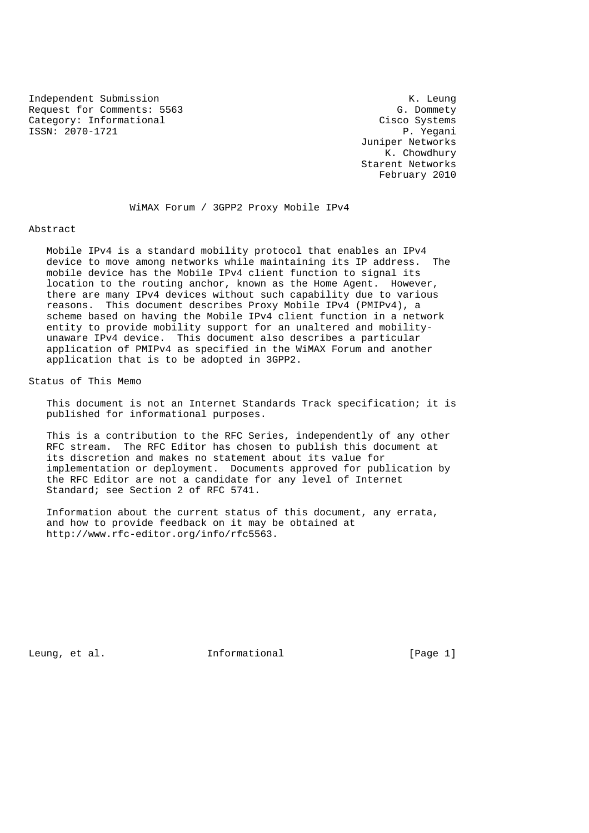Independent Submission K. Leung Request for Comments: 5563 G. Dommety Category: Informational Cisco Systems ISSN: 2070-1721 P. Yegani

 Juniper Networks K. Chowdhury Starent Networks February 2010

WiMAX Forum / 3GPP2 Proxy Mobile IPv4

#### Abstract

 Mobile IPv4 is a standard mobility protocol that enables an IPv4 device to move among networks while maintaining its IP address. The mobile device has the Mobile IPv4 client function to signal its location to the routing anchor, known as the Home Agent. However, there are many IPv4 devices without such capability due to various reasons. This document describes Proxy Mobile IPv4 (PMIPv4), a scheme based on having the Mobile IPv4 client function in a network entity to provide mobility support for an unaltered and mobility unaware IPv4 device. This document also describes a particular application of PMIPv4 as specified in the WiMAX Forum and another application that is to be adopted in 3GPP2.

Status of This Memo

 This document is not an Internet Standards Track specification; it is published for informational purposes.

 This is a contribution to the RFC Series, independently of any other RFC stream. The RFC Editor has chosen to publish this document at its discretion and makes no statement about its value for implementation or deployment. Documents approved for publication by the RFC Editor are not a candidate for any level of Internet Standard; see Section 2 of RFC 5741.

 Information about the current status of this document, any errata, and how to provide feedback on it may be obtained at http://www.rfc-editor.org/info/rfc5563.

Leung, et al. Informational [Page 1]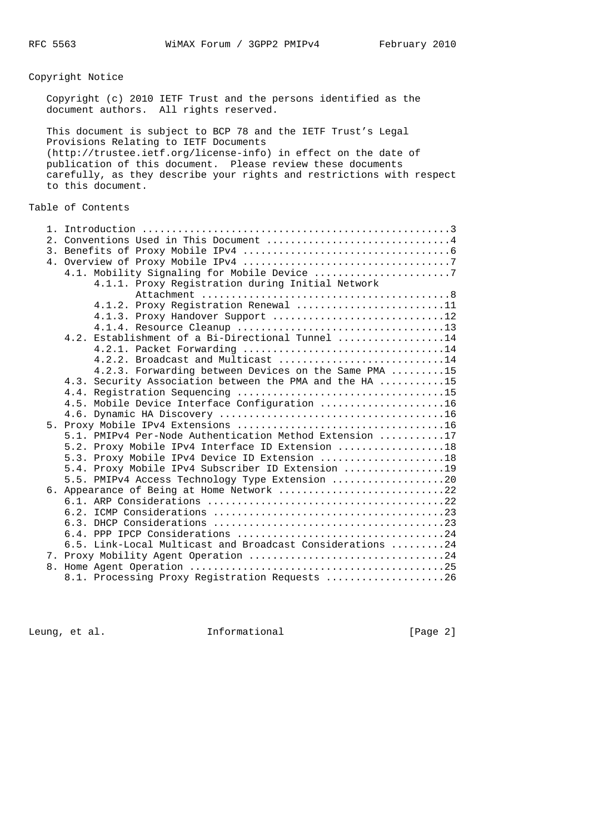# Copyright Notice

 Copyright (c) 2010 IETF Trust and the persons identified as the document authors. All rights reserved.

 This document is subject to BCP 78 and the IETF Trust's Legal Provisions Relating to IETF Documents (http://trustee.ietf.org/license-info) in effect on the date of publication of this document. Please review these documents carefully, as they describe your rights and restrictions with respect to this document.

### Table of Contents

|  | 2. Conventions Used in This Document 4                                                                        |
|--|---------------------------------------------------------------------------------------------------------------|
|  |                                                                                                               |
|  |                                                                                                               |
|  |                                                                                                               |
|  | 4.1.1. Proxy Registration during Initial Network                                                              |
|  |                                                                                                               |
|  | 4.1.2. Proxy Registration Renewal 11                                                                          |
|  | 4.1.3. Proxy Handover Support 12                                                                              |
|  |                                                                                                               |
|  | 4.2. Establishment of a Bi-Directional Tunnel 14                                                              |
|  |                                                                                                               |
|  | 4.2.2. Broadcast and Multicast 14                                                                             |
|  | 4.2.3. Forwarding between Devices on the Same PMA 15                                                          |
|  | 4.3. Security Association between the PMA and the HA 15                                                       |
|  |                                                                                                               |
|  | 4.5. Mobile Device Interface Configuration 16                                                                 |
|  |                                                                                                               |
|  |                                                                                                               |
|  | 5.1. PMIPv4 Per-Node Authentication Method Extension 17                                                       |
|  | 5.2. Proxy Mobile IPv4 Interface ID Extension 18                                                              |
|  | 5.3. Proxy Mobile IPv4 Device ID Extension 18                                                                 |
|  | 5.4. Proxy Mobile IPv4 Subscriber ID Extension 19                                                             |
|  | 5.5. PMIPv4 Access Technology Type Extension 20                                                               |
|  | 6. Appearance of Being at Home Network 22                                                                     |
|  |                                                                                                               |
|  |                                                                                                               |
|  | 6.3. DHCP Considerations $\ldots, \ldots, \ldots, \ldots, \ldots, \ldots, \ldots, \ldots, \ldots, \ldots, 23$ |
|  |                                                                                                               |
|  | 6.5. Link-Local Multicast and Broadcast Considerations 24                                                     |
|  |                                                                                                               |
|  |                                                                                                               |
|  | 8.1. Processing Proxy Registration Requests 26                                                                |

Leung, et al. 10 methormational 11 metal [Page 2]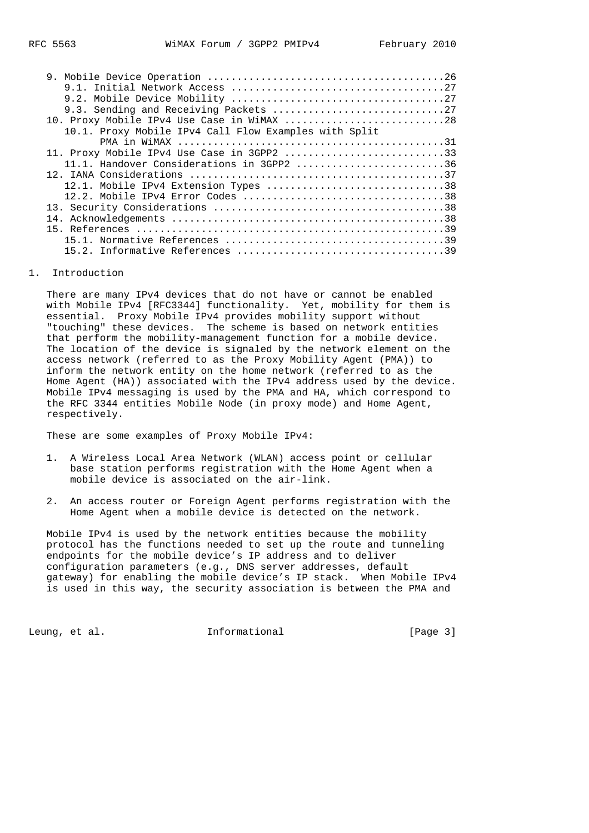| 9.3. Sending and Receiving Packets 27                 |
|-------------------------------------------------------|
| 10. Proxy Mobile IPv4 Use Case in WiMAX 28            |
| 10.1. Proxy Mobile IPv4 Call Flow Examples with Split |
|                                                       |
| 11. Proxy Mobile IPv4 Use Case in 3GPP2 33            |
| 11.1. Handover Considerations in 3GPP2 36             |
|                                                       |
| 12.1. Mobile IPv4 Extension Types 38                  |
|                                                       |
|                                                       |
|                                                       |
|                                                       |
|                                                       |
|                                                       |
|                                                       |

### 1. Introduction

 There are many IPv4 devices that do not have or cannot be enabled with Mobile IPv4 [RFC3344] functionality. Yet, mobility for them is essential. Proxy Mobile IPv4 provides mobility support without "touching" these devices. The scheme is based on network entities that perform the mobility-management function for a mobile device. The location of the device is signaled by the network element on the access network (referred to as the Proxy Mobility Agent (PMA)) to inform the network entity on the home network (referred to as the Home Agent (HA)) associated with the IPv4 address used by the device. Mobile IPv4 messaging is used by the PMA and HA, which correspond to the RFC 3344 entities Mobile Node (in proxy mode) and Home Agent, respectively.

These are some examples of Proxy Mobile IPv4:

- 1. A Wireless Local Area Network (WLAN) access point or cellular base station performs registration with the Home Agent when a mobile device is associated on the air-link.
- 2. An access router or Foreign Agent performs registration with the Home Agent when a mobile device is detected on the network.

 Mobile IPv4 is used by the network entities because the mobility protocol has the functions needed to set up the route and tunneling endpoints for the mobile device's IP address and to deliver configuration parameters (e.g., DNS server addresses, default gateway) for enabling the mobile device's IP stack. When Mobile IPv4 is used in this way, the security association is between the PMA and

Leung, et al.  $\qquad \qquad$  Informational  $[Page 3]$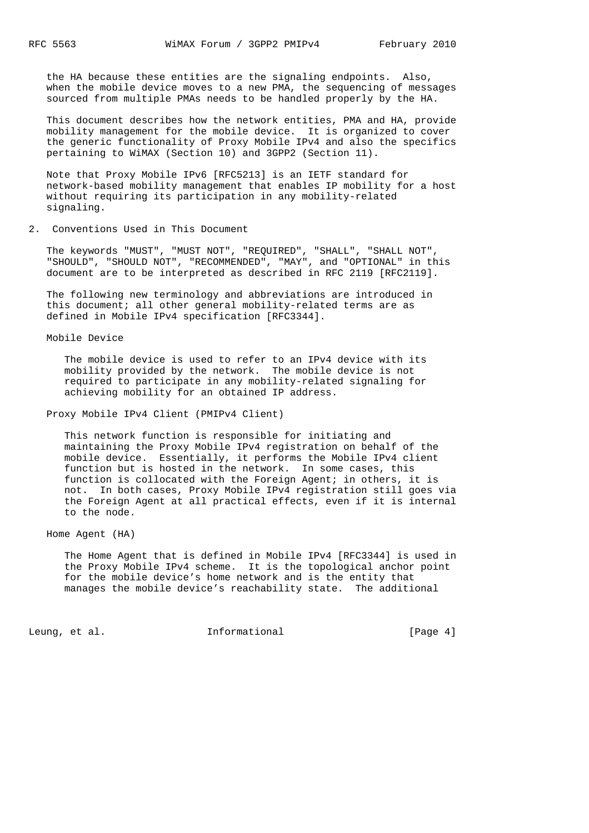the HA because these entities are the signaling endpoints. Also, when the mobile device moves to a new PMA, the sequencing of messages sourced from multiple PMAs needs to be handled properly by the HA.

 This document describes how the network entities, PMA and HA, provide mobility management for the mobile device. It is organized to cover the generic functionality of Proxy Mobile IPv4 and also the specifics pertaining to WiMAX (Section 10) and 3GPP2 (Section 11).

 Note that Proxy Mobile IPv6 [RFC5213] is an IETF standard for network-based mobility management that enables IP mobility for a host without requiring its participation in any mobility-related signaling.

2. Conventions Used in This Document

 The keywords "MUST", "MUST NOT", "REQUIRED", "SHALL", "SHALL NOT", "SHOULD", "SHOULD NOT", "RECOMMENDED", "MAY", and "OPTIONAL" in this document are to be interpreted as described in RFC 2119 [RFC2119].

 The following new terminology and abbreviations are introduced in this document; all other general mobility-related terms are as defined in Mobile IPv4 specification [RFC3344].

Mobile Device

 The mobile device is used to refer to an IPv4 device with its mobility provided by the network. The mobile device is not required to participate in any mobility-related signaling for achieving mobility for an obtained IP address.

Proxy Mobile IPv4 Client (PMIPv4 Client)

 This network function is responsible for initiating and maintaining the Proxy Mobile IPv4 registration on behalf of the mobile device. Essentially, it performs the Mobile IPv4 client function but is hosted in the network. In some cases, this function is collocated with the Foreign Agent; in others, it is not. In both cases, Proxy Mobile IPv4 registration still goes via the Foreign Agent at all practical effects, even if it is internal to the node.

Home Agent (HA)

 The Home Agent that is defined in Mobile IPv4 [RFC3344] is used in the Proxy Mobile IPv4 scheme. It is the topological anchor point for the mobile device's home network and is the entity that manages the mobile device's reachability state. The additional

Leung, et al.  $I_n$  informational  $[Page 4]$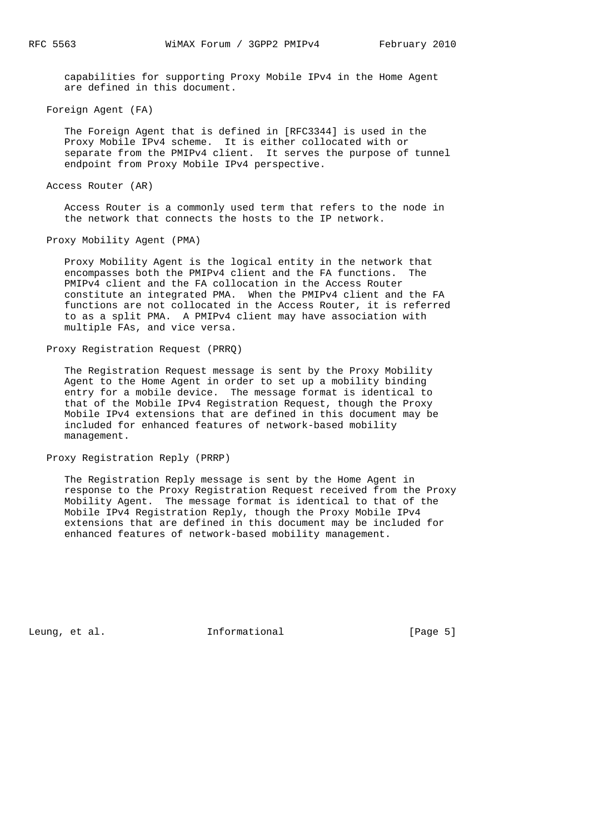capabilities for supporting Proxy Mobile IPv4 in the Home Agent are defined in this document.

Foreign Agent (FA)

 The Foreign Agent that is defined in [RFC3344] is used in the Proxy Mobile IPv4 scheme. It is either collocated with or separate from the PMIPv4 client. It serves the purpose of tunnel endpoint from Proxy Mobile IPv4 perspective.

Access Router (AR)

 Access Router is a commonly used term that refers to the node in the network that connects the hosts to the IP network.

Proxy Mobility Agent (PMA)

 Proxy Mobility Agent is the logical entity in the network that encompasses both the PMIPv4 client and the FA functions. The PMIPv4 client and the FA collocation in the Access Router constitute an integrated PMA. When the PMIPv4 client and the FA functions are not collocated in the Access Router, it is referred to as a split PMA. A PMIPv4 client may have association with multiple FAs, and vice versa.

Proxy Registration Request (PRRQ)

 The Registration Request message is sent by the Proxy Mobility Agent to the Home Agent in order to set up a mobility binding entry for a mobile device. The message format is identical to that of the Mobile IPv4 Registration Request, though the Proxy Mobile IPv4 extensions that are defined in this document may be included for enhanced features of network-based mobility management.

Proxy Registration Reply (PRRP)

 The Registration Reply message is sent by the Home Agent in response to the Proxy Registration Request received from the Proxy Mobility Agent. The message format is identical to that of the Mobile IPv4 Registration Reply, though the Proxy Mobile IPv4 extensions that are defined in this document may be included for enhanced features of network-based mobility management.

Leung, et al.  $I_n$  informational informational [Page 5]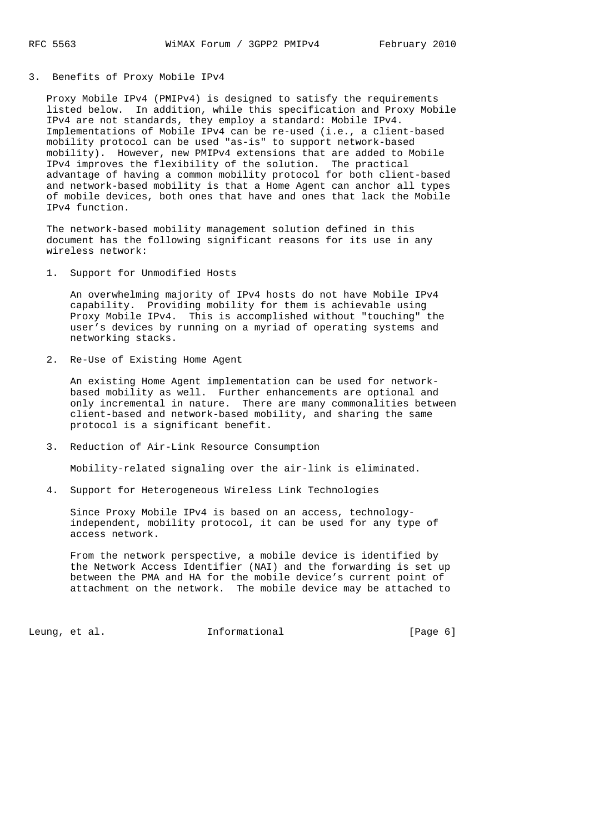### 3. Benefits of Proxy Mobile IPv4

 Proxy Mobile IPv4 (PMIPv4) is designed to satisfy the requirements listed below. In addition, while this specification and Proxy Mobile IPv4 are not standards, they employ a standard: Mobile IPv4. Implementations of Mobile IPv4 can be re-used (i.e., a client-based mobility protocol can be used "as-is" to support network-based mobility). However, new PMIPv4 extensions that are added to Mobile IPv4 improves the flexibility of the solution. The practical advantage of having a common mobility protocol for both client-based and network-based mobility is that a Home Agent can anchor all types of mobile devices, both ones that have and ones that lack the Mobile IPv4 function.

 The network-based mobility management solution defined in this document has the following significant reasons for its use in any wireless network:

1. Support for Unmodified Hosts

 An overwhelming majority of IPv4 hosts do not have Mobile IPv4 capability. Providing mobility for them is achievable using Proxy Mobile IPv4. This is accomplished without "touching" the user's devices by running on a myriad of operating systems and networking stacks.

2. Re-Use of Existing Home Agent

 An existing Home Agent implementation can be used for network based mobility as well. Further enhancements are optional and only incremental in nature. There are many commonalities between client-based and network-based mobility, and sharing the same protocol is a significant benefit.

3. Reduction of Air-Link Resource Consumption

Mobility-related signaling over the air-link is eliminated.

4. Support for Heterogeneous Wireless Link Technologies

 Since Proxy Mobile IPv4 is based on an access, technology independent, mobility protocol, it can be used for any type of access network.

 From the network perspective, a mobile device is identified by the Network Access Identifier (NAI) and the forwarding is set up between the PMA and HA for the mobile device's current point of attachment on the network. The mobile device may be attached to

Leung, et al.  $\qquad \qquad$  Informational  $\qquad \qquad$  [Page 6]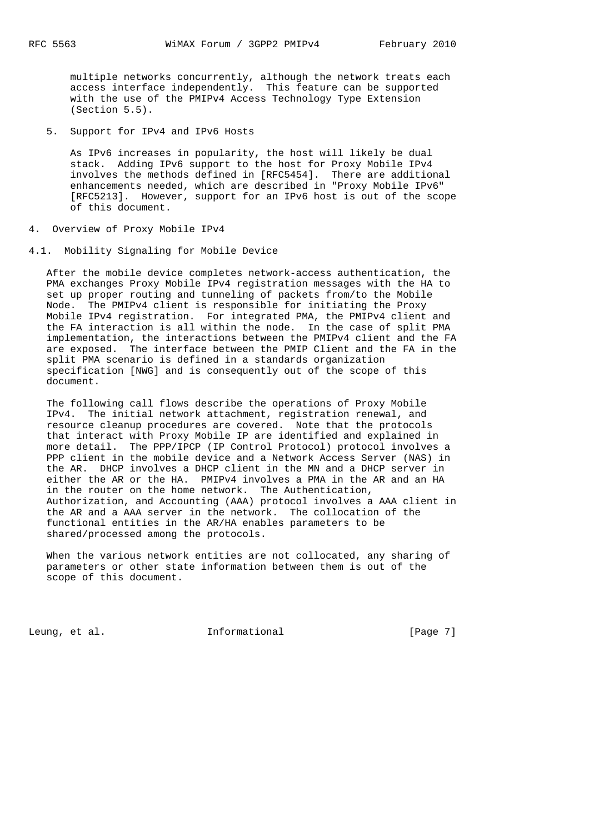multiple networks concurrently, although the network treats each access interface independently. This feature can be supported with the use of the PMIPv4 Access Technology Type Extension (Section 5.5).

5. Support for IPv4 and IPv6 Hosts

 As IPv6 increases in popularity, the host will likely be dual stack. Adding IPv6 support to the host for Proxy Mobile IPv4 involves the methods defined in [RFC5454]. There are additional enhancements needed, which are described in "Proxy Mobile IPv6" [RFC5213]. However, support for an IPv6 host is out of the scope of this document.

- 4. Overview of Proxy Mobile IPv4
- 4.1. Mobility Signaling for Mobile Device

 After the mobile device completes network-access authentication, the PMA exchanges Proxy Mobile IPv4 registration messages with the HA to set up proper routing and tunneling of packets from/to the Mobile Node. The PMIPv4 client is responsible for initiating the Proxy Mobile IPv4 registration. For integrated PMA, the PMIPv4 client and the FA interaction is all within the node. In the case of split PMA implementation, the interactions between the PMIPv4 client and the FA are exposed. The interface between the PMIP Client and the FA in the split PMA scenario is defined in a standards organization specification [NWG] and is consequently out of the scope of this document.

 The following call flows describe the operations of Proxy Mobile IPv4. The initial network attachment, registration renewal, and resource cleanup procedures are covered. Note that the protocols that interact with Proxy Mobile IP are identified and explained in more detail. The PPP/IPCP (IP Control Protocol) protocol involves a PPP client in the mobile device and a Network Access Server (NAS) in the AR. DHCP involves a DHCP client in the MN and a DHCP server in either the AR or the HA. PMIPv4 involves a PMA in the AR and an HA in the router on the home network. The Authentication, Authorization, and Accounting (AAA) protocol involves a AAA client in the AR and a AAA server in the network. The collocation of the functional entities in the AR/HA enables parameters to be shared/processed among the protocols.

 When the various network entities are not collocated, any sharing of parameters or other state information between them is out of the scope of this document.

Leung, et al. 1nformational 1999 [Page 7]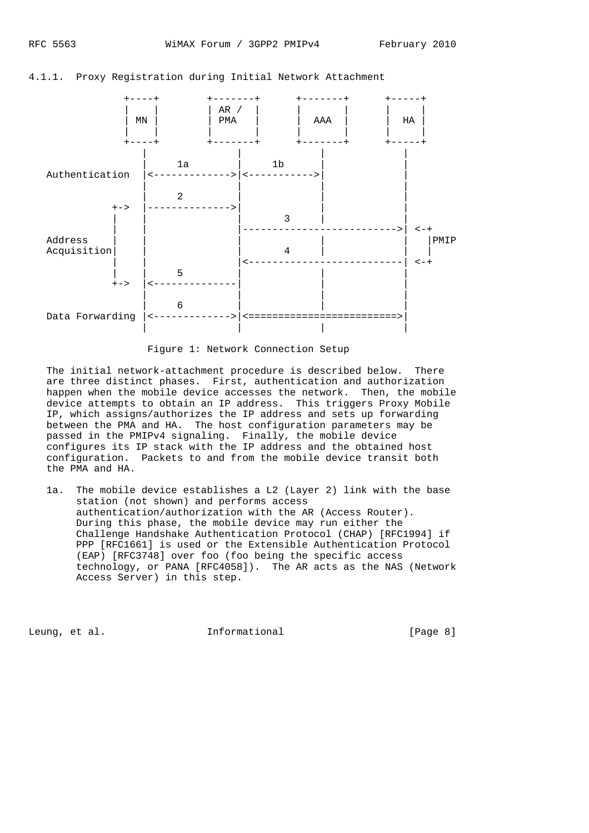

4.1.1. Proxy Registration during Initial Network Attachment

#### Figure 1: Network Connection Setup

 The initial network-attachment procedure is described below. There are three distinct phases. First, authentication and authorization happen when the mobile device accesses the network. Then, the mobile device attempts to obtain an IP address. This triggers Proxy Mobile IP, which assigns/authorizes the IP address and sets up forwarding between the PMA and HA. The host configuration parameters may be passed in the PMIPv4 signaling. Finally, the mobile device configures its IP stack with the IP address and the obtained host configuration. Packets to and from the mobile device transit both the PMA and HA.

 1a. The mobile device establishes a L2 (Layer 2) link with the base station (not shown) and performs access authentication/authorization with the AR (Access Router). During this phase, the mobile device may run either the Challenge Handshake Authentication Protocol (CHAP) [RFC1994] if PPP [RFC1661] is used or the Extensible Authentication Protocol (EAP) [RFC3748] over foo (foo being the specific access technology, or PANA [RFC4058]). The AR acts as the NAS (Network Access Server) in this step.

Leung, et al.  $I_n$  informational [Page 8]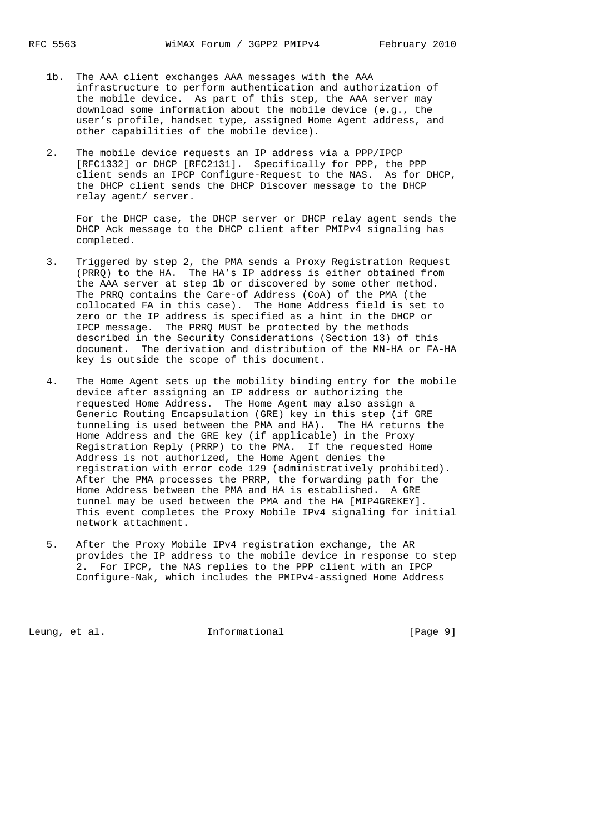- 1b. The AAA client exchanges AAA messages with the AAA infrastructure to perform authentication and authorization of the mobile device. As part of this step, the AAA server may download some information about the mobile device (e.g., the user's profile, handset type, assigned Home Agent address, and other capabilities of the mobile device).
- 2. The mobile device requests an IP address via a PPP/IPCP [RFC1332] or DHCP [RFC2131]. Specifically for PPP, the PPP client sends an IPCP Configure-Request to the NAS. As for DHCP, the DHCP client sends the DHCP Discover message to the DHCP relay agent/ server.

 For the DHCP case, the DHCP server or DHCP relay agent sends the DHCP Ack message to the DHCP client after PMIPv4 signaling has completed.

- 3. Triggered by step 2, the PMA sends a Proxy Registration Request (PRRQ) to the HA. The HA's IP address is either obtained from the AAA server at step 1b or discovered by some other method. The PRRQ contains the Care-of Address (CoA) of the PMA (the collocated FA in this case). The Home Address field is set to zero or the IP address is specified as a hint in the DHCP or IPCP message. The PRRQ MUST be protected by the methods described in the Security Considerations (Section 13) of this document. The derivation and distribution of the MN-HA or FA-HA key is outside the scope of this document.
- 4. The Home Agent sets up the mobility binding entry for the mobile device after assigning an IP address or authorizing the requested Home Address. The Home Agent may also assign a Generic Routing Encapsulation (GRE) key in this step (if GRE tunneling is used between the PMA and HA). The HA returns the Home Address and the GRE key (if applicable) in the Proxy Registration Reply (PRRP) to the PMA. If the requested Home Address is not authorized, the Home Agent denies the registration with error code 129 (administratively prohibited). After the PMA processes the PRRP, the forwarding path for the Home Address between the PMA and HA is established. A GRE tunnel may be used between the PMA and the HA [MIP4GREKEY]. This event completes the Proxy Mobile IPv4 signaling for initial network attachment.
- 5. After the Proxy Mobile IPv4 registration exchange, the AR provides the IP address to the mobile device in response to step 2. For IPCP, the NAS replies to the PPP client with an IPCP Configure-Nak, which includes the PMIPv4-assigned Home Address

Leung, et al. 1nformational [Page 9]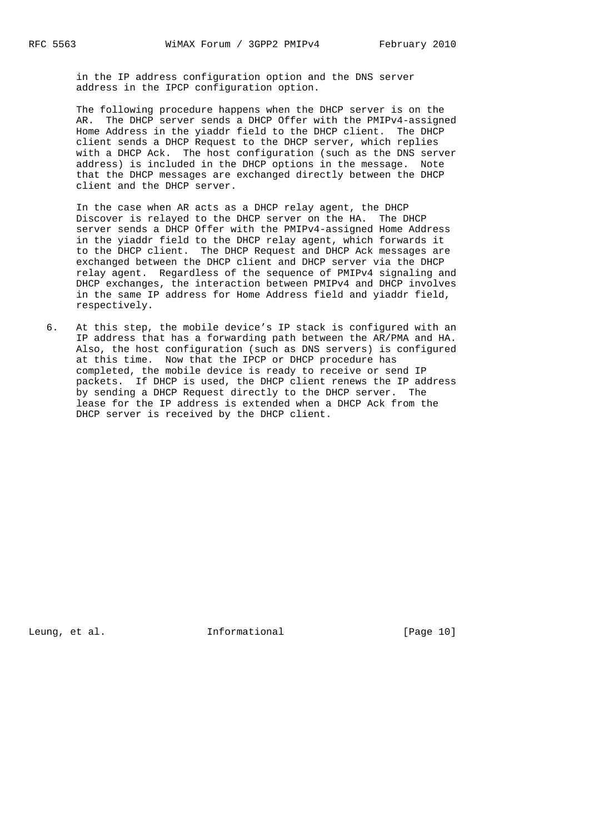in the IP address configuration option and the DNS server address in the IPCP configuration option.

 The following procedure happens when the DHCP server is on the AR. The DHCP server sends a DHCP Offer with the PMIPv4-assigned Home Address in the yiaddr field to the DHCP client. The DHCP client sends a DHCP Request to the DHCP server, which replies with a DHCP Ack. The host configuration (such as the DNS server address) is included in the DHCP options in the message. Note that the DHCP messages are exchanged directly between the DHCP client and the DHCP server.

 In the case when AR acts as a DHCP relay agent, the DHCP Discover is relayed to the DHCP server on the HA. The DHCP server sends a DHCP Offer with the PMIPv4-assigned Home Address in the yiaddr field to the DHCP relay agent, which forwards it to the DHCP client. The DHCP Request and DHCP Ack messages are exchanged between the DHCP client and DHCP server via the DHCP relay agent. Regardless of the sequence of PMIPv4 signaling and DHCP exchanges, the interaction between PMIPv4 and DHCP involves in the same IP address for Home Address field and yiaddr field, respectively.

 6. At this step, the mobile device's IP stack is configured with an IP address that has a forwarding path between the AR/PMA and HA. Also, the host configuration (such as DNS servers) is configured at this time. Now that the IPCP or DHCP procedure has completed, the mobile device is ready to receive or send IP packets. If DHCP is used, the DHCP client renews the IP address by sending a DHCP Request directly to the DHCP server. The lease for the IP address is extended when a DHCP Ack from the DHCP server is received by the DHCP client.

Leung, et al.  $I_n$  Informational [Page 10]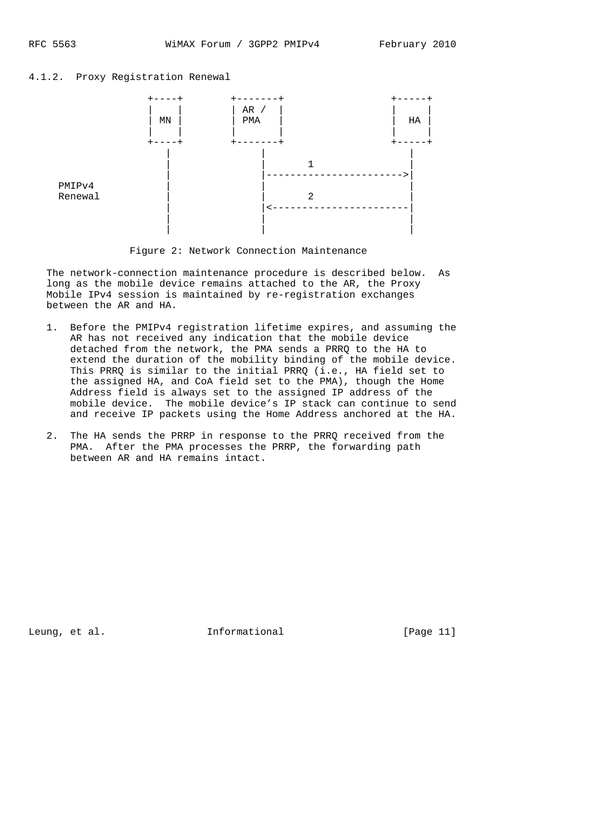# 4.1.2. Proxy Registration Renewal



Figure 2: Network Connection Maintenance

 The network-connection maintenance procedure is described below. As long as the mobile device remains attached to the AR, the Proxy Mobile IPv4 session is maintained by re-registration exchanges between the AR and HA.

- 1. Before the PMIPv4 registration lifetime expires, and assuming the AR has not received any indication that the mobile device detached from the network, the PMA sends a PRRQ to the HA to extend the duration of the mobility binding of the mobile device. This PRRQ is similar to the initial PRRQ (i.e., HA field set to the assigned HA, and CoA field set to the PMA), though the Home Address field is always set to the assigned IP address of the mobile device. The mobile device's IP stack can continue to send and receive IP packets using the Home Address anchored at the HA.
- 2. The HA sends the PRRP in response to the PRRQ received from the PMA. After the PMA processes the PRRP, the forwarding path between AR and HA remains intact.

Leung, et al.  $I_n$  Informational [Page 11]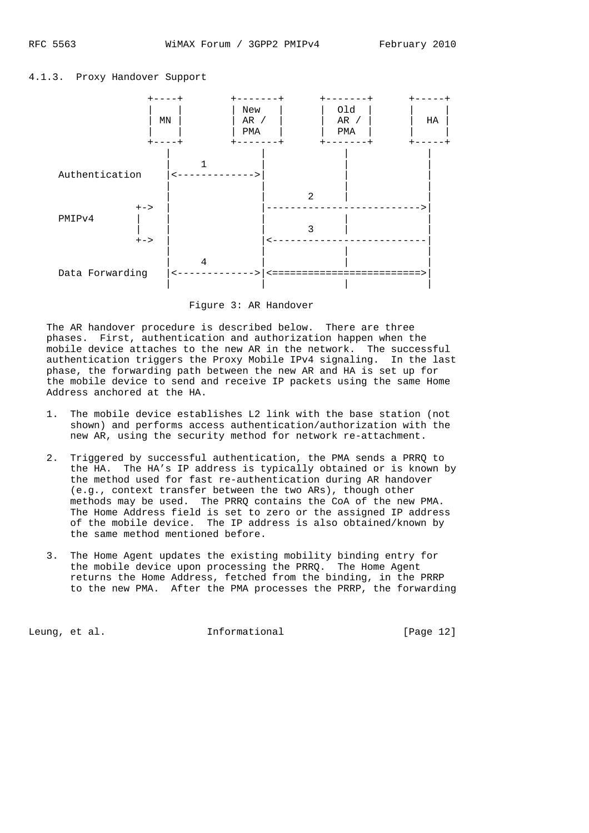



Figure 3: AR Handover

 The AR handover procedure is described below. There are three phases. First, authentication and authorization happen when the mobile device attaches to the new AR in the network. The successful authentication triggers the Proxy Mobile IPv4 signaling. In the last phase, the forwarding path between the new AR and HA is set up for the mobile device to send and receive IP packets using the same Home Address anchored at the HA.

- 1. The mobile device establishes L2 link with the base station (not shown) and performs access authentication/authorization with the new AR, using the security method for network re-attachment.
- 2. Triggered by successful authentication, the PMA sends a PRRQ to the HA. The HA's IP address is typically obtained or is known by the method used for fast re-authentication during AR handover (e.g., context transfer between the two ARs), though other methods may be used. The PRRQ contains the CoA of the new PMA. The Home Address field is set to zero or the assigned IP address of the mobile device. The IP address is also obtained/known by the same method mentioned before.
- 3. The Home Agent updates the existing mobility binding entry for the mobile device upon processing the PRRQ. The Home Agent returns the Home Address, fetched from the binding, in the PRRP to the new PMA. After the PMA processes the PRRP, the forwarding

Leung, et al.  $I_n$  informational [Page 12]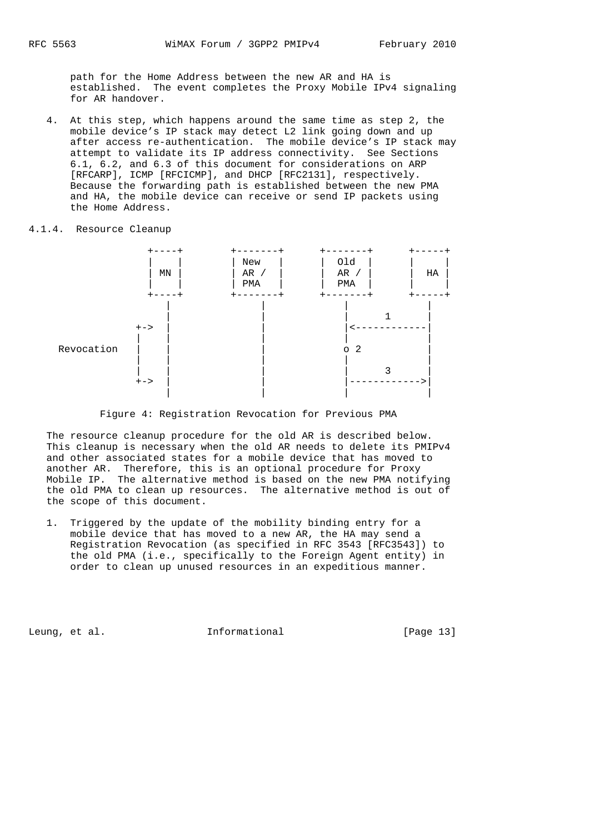path for the Home Address between the new AR and HA is established. The event completes the Proxy Mobile IPv4 signaling for AR handover.

 4. At this step, which happens around the same time as step 2, the mobile device's IP stack may detect L2 link going down and up after access re-authentication. The mobile device's IP stack may attempt to validate its IP address connectivity. See Sections 6.1, 6.2, and 6.3 of this document for considerations on ARP [RFCARP], ICMP [RFCICMP], and DHCP [RFC2131], respectively. Because the forwarding path is established between the new PMA and HA, the mobile device can receive or send IP packets using the Home Address.

## 4.1.4. Resource Cleanup



Figure 4: Registration Revocation for Previous PMA

 The resource cleanup procedure for the old AR is described below. This cleanup is necessary when the old AR needs to delete its PMIPv4 and other associated states for a mobile device that has moved to another AR. Therefore, this is an optional procedure for Proxy Mobile IP. The alternative method is based on the new PMA notifying the old PMA to clean up resources. The alternative method is out of the scope of this document.

 1. Triggered by the update of the mobility binding entry for a mobile device that has moved to a new AR, the HA may send a Registration Revocation (as specified in RFC 3543 [RFC3543]) to the old PMA (i.e., specifically to the Foreign Agent entity) in order to clean up unused resources in an expeditious manner.

Leung, et al.  $I_n$  informational [Page 13]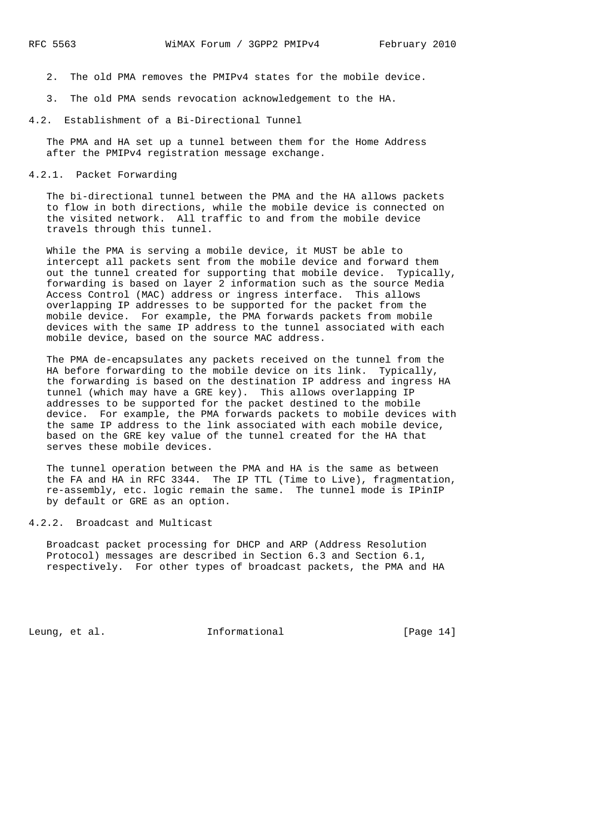- 2. The old PMA removes the PMIPv4 states for the mobile device.
- 3. The old PMA sends revocation acknowledgement to the HA.
- 4.2. Establishment of a Bi-Directional Tunnel

 The PMA and HA set up a tunnel between them for the Home Address after the PMIPv4 registration message exchange.

### 4.2.1. Packet Forwarding

 The bi-directional tunnel between the PMA and the HA allows packets to flow in both directions, while the mobile device is connected on the visited network. All traffic to and from the mobile device travels through this tunnel.

 While the PMA is serving a mobile device, it MUST be able to intercept all packets sent from the mobile device and forward them out the tunnel created for supporting that mobile device. Typically, forwarding is based on layer 2 information such as the source Media Access Control (MAC) address or ingress interface. This allows overlapping IP addresses to be supported for the packet from the mobile device. For example, the PMA forwards packets from mobile devices with the same IP address to the tunnel associated with each mobile device, based on the source MAC address.

 The PMA de-encapsulates any packets received on the tunnel from the HA before forwarding to the mobile device on its link. Typically, the forwarding is based on the destination IP address and ingress HA tunnel (which may have a GRE key). This allows overlapping IP addresses to be supported for the packet destined to the mobile device. For example, the PMA forwards packets to mobile devices with the same IP address to the link associated with each mobile device, based on the GRE key value of the tunnel created for the HA that serves these mobile devices.

 The tunnel operation between the PMA and HA is the same as between the FA and HA in RFC 3344. The IP TTL (Time to Live), fragmentation, re-assembly, etc. logic remain the same. The tunnel mode is IPinIP by default or GRE as an option.

4.2.2. Broadcast and Multicast

 Broadcast packet processing for DHCP and ARP (Address Resolution Protocol) messages are described in Section 6.3 and Section 6.1, respectively. For other types of broadcast packets, the PMA and HA

Leung, et al. 1nformational [Page 14]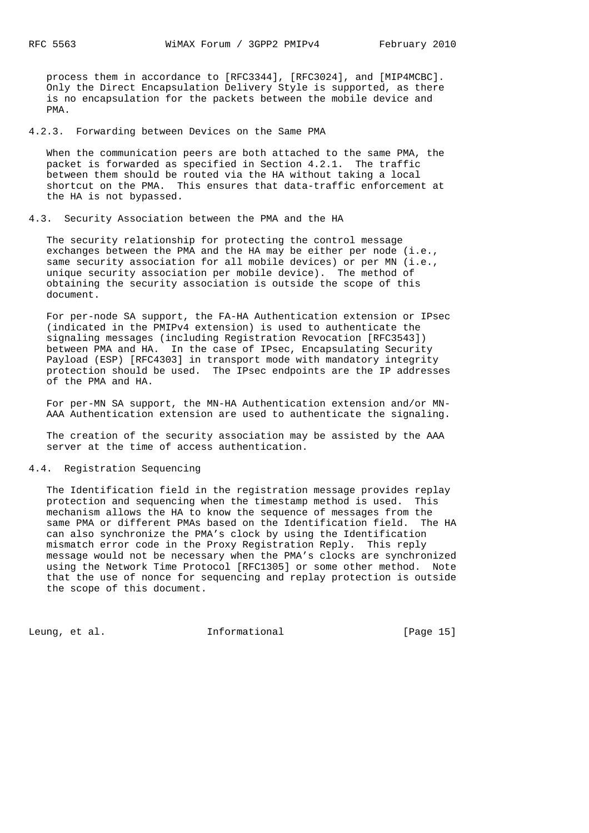process them in accordance to [RFC3344], [RFC3024], and [MIP4MCBC]. Only the Direct Encapsulation Delivery Style is supported, as there is no encapsulation for the packets between the mobile device and PMA.

4.2.3. Forwarding between Devices on the Same PMA

 When the communication peers are both attached to the same PMA, the packet is forwarded as specified in Section 4.2.1. The traffic between them should be routed via the HA without taking a local shortcut on the PMA. This ensures that data-traffic enforcement at the HA is not bypassed.

### 4.3. Security Association between the PMA and the HA

 The security relationship for protecting the control message exchanges between the PMA and the HA may be either per node (i.e., same security association for all mobile devices) or per MN (i.e., unique security association per mobile device). The method of obtaining the security association is outside the scope of this document.

 For per-node SA support, the FA-HA Authentication extension or IPsec (indicated in the PMIPv4 extension) is used to authenticate the signaling messages (including Registration Revocation [RFC3543]) between PMA and HA. In the case of IPsec, Encapsulating Security Payload (ESP) [RFC4303] in transport mode with mandatory integrity protection should be used. The IPsec endpoints are the IP addresses of the PMA and HA.

 For per-MN SA support, the MN-HA Authentication extension and/or MN- AAA Authentication extension are used to authenticate the signaling.

 The creation of the security association may be assisted by the AAA server at the time of access authentication.

#### 4.4. Registration Sequencing

 The Identification field in the registration message provides replay protection and sequencing when the timestamp method is used. This mechanism allows the HA to know the sequence of messages from the same PMA or different PMAs based on the Identification field. The HA can also synchronize the PMA's clock by using the Identification mismatch error code in the Proxy Registration Reply. This reply message would not be necessary when the PMA's clocks are synchronized using the Network Time Protocol [RFC1305] or some other method. Note that the use of nonce for sequencing and replay protection is outside the scope of this document.

Leung, et al.  $I_n$  informational [Page 15]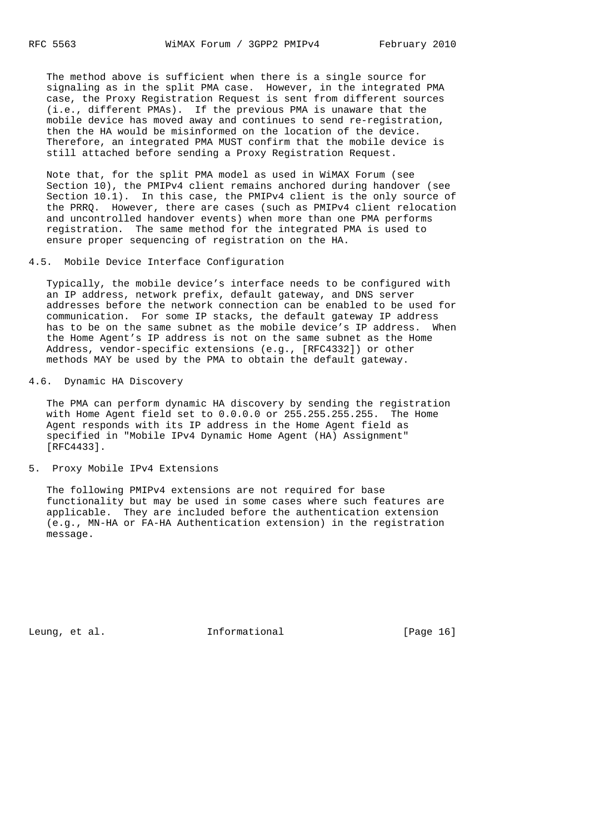The method above is sufficient when there is a single source for signaling as in the split PMA case. However, in the integrated PMA case, the Proxy Registration Request is sent from different sources (i.e., different PMAs). If the previous PMA is unaware that the mobile device has moved away and continues to send re-registration, then the HA would be misinformed on the location of the device. Therefore, an integrated PMA MUST confirm that the mobile device is still attached before sending a Proxy Registration Request.

 Note that, for the split PMA model as used in WiMAX Forum (see Section 10), the PMIPv4 client remains anchored during handover (see Section 10.1). In this case, the PMIPv4 client is the only source of the PRRQ. However, there are cases (such as PMIPv4 client relocation and uncontrolled handover events) when more than one PMA performs registration. The same method for the integrated PMA is used to ensure proper sequencing of registration on the HA.

4.5. Mobile Device Interface Configuration

 Typically, the mobile device's interface needs to be configured with an IP address, network prefix, default gateway, and DNS server addresses before the network connection can be enabled to be used for communication. For some IP stacks, the default gateway IP address has to be on the same subnet as the mobile device's IP address. When the Home Agent's IP address is not on the same subnet as the Home Address, vendor-specific extensions (e.g., [RFC4332]) or other methods MAY be used by the PMA to obtain the default gateway.

### 4.6. Dynamic HA Discovery

 The PMA can perform dynamic HA discovery by sending the registration with Home Agent field set to 0.0.0.0 or 255.255.255.255. The Home Agent responds with its IP address in the Home Agent field as specified in "Mobile IPv4 Dynamic Home Agent (HA) Assignment" [RFC4433].

#### 5. Proxy Mobile IPv4 Extensions

 The following PMIPv4 extensions are not required for base functionality but may be used in some cases where such features are applicable. They are included before the authentication extension (e.g., MN-HA or FA-HA Authentication extension) in the registration message.

Leung, et al.  $I_n$  Informational [Page 16]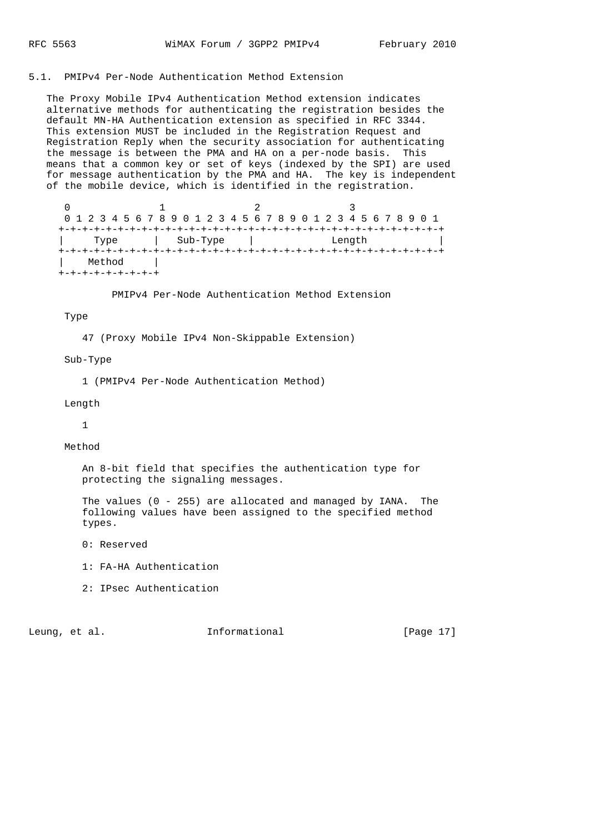# 5.1. PMIPv4 Per-Node Authentication Method Extension

 The Proxy Mobile IPv4 Authentication Method extension indicates alternative methods for authenticating the registration besides the default MN-HA Authentication extension as specified in RFC 3344. This extension MUST be included in the Registration Request and Registration Reply when the security association for authenticating the message is between the PMA and HA on a per-node basis. This means that a common key or set of keys (indexed by the SPI) are used for message authentication by the PMA and HA. The key is independent of the mobile device, which is identified in the registration.

|        | 0 1 2 3 4 5 6 7 8 9 0 1 2 3 4 5 6 7 8 9 0 1 2 3 4 5 6 7 8 9 0 1 |        |  |
|--------|-----------------------------------------------------------------|--------|--|
|        |                                                                 |        |  |
| Type   | Sub-Type                                                        | Length |  |
| Method |                                                                 |        |  |

PMIPv4 Per-Node Authentication Method Extension

### Type

47 (Proxy Mobile IPv4 Non-Skippable Extension)

#### Sub-Type

1 (PMIPv4 Per-Node Authentication Method)

# Length

1

Method

 An 8-bit field that specifies the authentication type for protecting the signaling messages.

 The values (0 - 255) are allocated and managed by IANA. The following values have been assigned to the specified method types.

0: Reserved

1: FA-HA Authentication

2: IPsec Authentication

Leung, et al.  $I_n$  Informational [Page 17]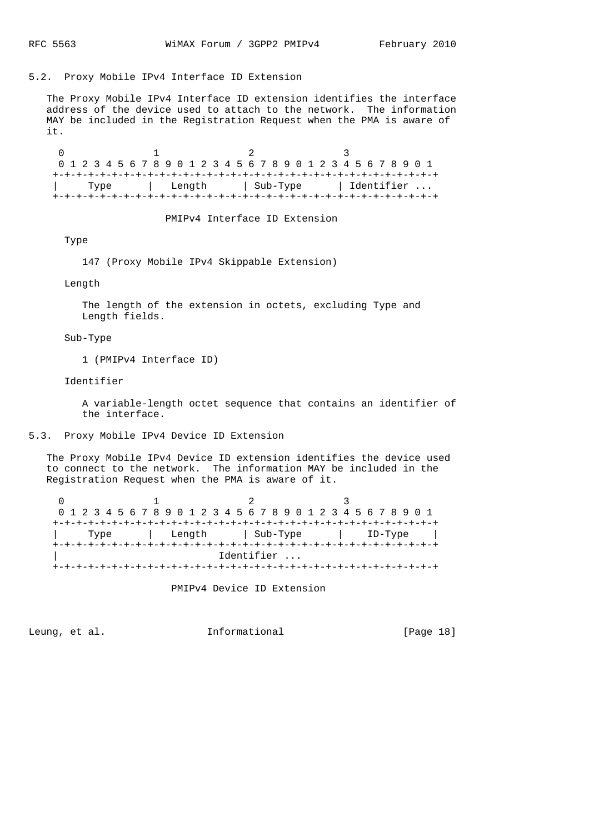# 5.2. Proxy Mobile IPv4 Interface ID Extension

 The Proxy Mobile IPv4 Interface ID extension identifies the interface address of the device used to attach to the network. The information MAY be included in the Registration Request when the PMA is aware of it.

0  $1$  2 3 0 1 2 3 4 5 6 7 8 9 0 1 2 3 4 5 6 7 8 9 0 1 2 3 4 5 6 7 8 9 0 1 +-+-+-+-+-+-+-+-+-+-+-+-+-+-+-+-+-+-+-+-+-+-+-+-+-+-+-+-+-+-+-+-+ | Type | Length | Sub-Type | Identifier ... +-+-+-+-+-+-+-+-+-+-+-+-+-+-+-+-+-+-+-+-+-+-+-+-+-+-+-+-+-+-+-+-+

PMIPv4 Interface ID Extension

Type

147 (Proxy Mobile IPv4 Skippable Extension)

Length

 The length of the extension in octets, excluding Type and Length fields.

Sub-Type

1 (PMIPv4 Interface ID)

Identifier

 A variable-length octet sequence that contains an identifier of the interface.

5.3. Proxy Mobile IPv4 Device ID Extension

 The Proxy Mobile IPv4 Device ID extension identifies the device used to connect to the network. The information MAY be included in the Registration Request when the PMA is aware of it.

0  $1$  2 3 0 1 2 3 4 5 6 7 8 9 0 1 2 3 4 5 6 7 8 9 0 1 2 3 4 5 6 7 8 9 0 1 +-+-+-+-+-+-+-+-+-+-+-+-+-+-+-+-+-+-+-+-+-+-+-+-+-+-+-+-+-+-+-+-+ | Type | Length | Sub-Type | ID-Type | +-+-+-+-+-+-+-+-+-+-+-+-+-+-+-+-+-+-+-+-+-+-+-+-+-+-+-+-+-+-+-+-+ Identifier ... +-+-+-+-+-+-+-+-+-+-+-+-+-+-+-+-+-+-+-+-+-+-+-+-+-+-+-+-+-+-+-+-+

PMIPv4 Device ID Extension

Leung, et al.  $I_n$  Informational [Page 18]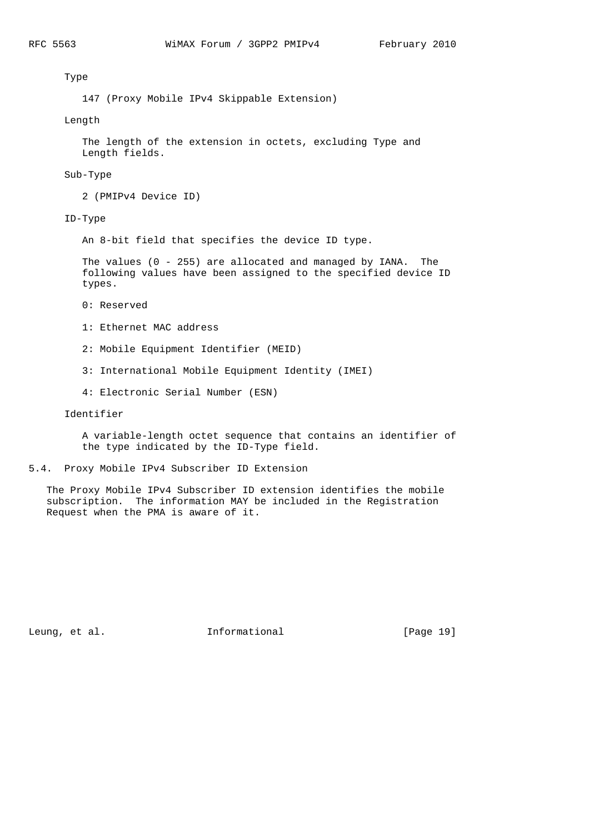Type

147 (Proxy Mobile IPv4 Skippable Extension)

Length

 The length of the extension in octets, excluding Type and Length fields.

### Sub-Type

2 (PMIPv4 Device ID)

ID-Type

An 8-bit field that specifies the device ID type.

 The values (0 - 255) are allocated and managed by IANA. The following values have been assigned to the specified device ID types.

- 0: Reserved
- 1: Ethernet MAC address
- 2: Mobile Equipment Identifier (MEID)
- 3: International Mobile Equipment Identity (IMEI)
- 4: Electronic Serial Number (ESN)

Identifier

 A variable-length octet sequence that contains an identifier of the type indicated by the ID-Type field.

### 5.4. Proxy Mobile IPv4 Subscriber ID Extension

 The Proxy Mobile IPv4 Subscriber ID extension identifies the mobile subscription. The information MAY be included in the Registration Request when the PMA is aware of it.

Leung, et al. 1nformational [Page 19]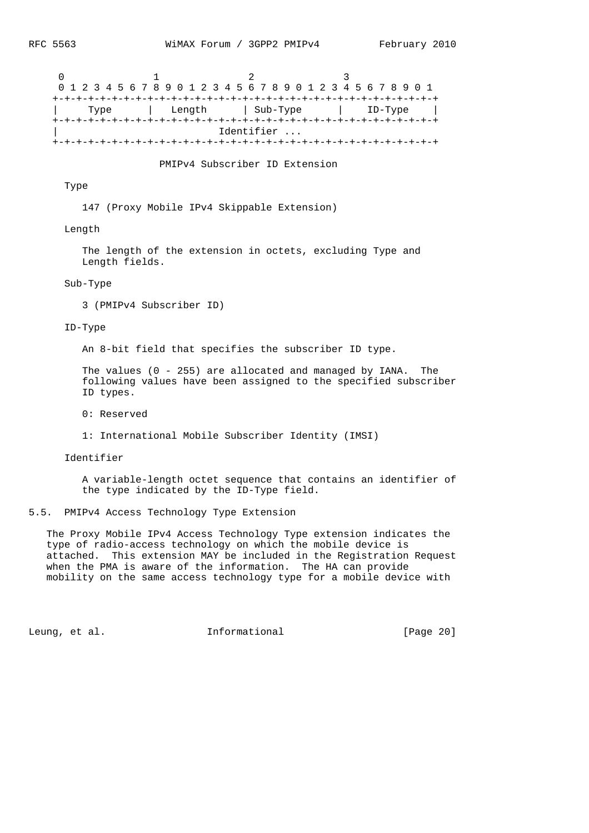| 0 1 2 3 4 5 6 7 8 9 0 1 2 3 4 5 6 7 8 9 0 1 2 3 4 5 6 7 8 9 0 1 |  |  |        |  |  |  |            |  |  |  |  |  |           |  |  |
|-----------------------------------------------------------------|--|--|--------|--|--|--|------------|--|--|--|--|--|-----------|--|--|
|                                                                 |  |  |        |  |  |  |            |  |  |  |  |  |           |  |  |
| Type                                                            |  |  | Length |  |  |  | sub-Type)  |  |  |  |  |  | $ID-Type$ |  |  |
|                                                                 |  |  |        |  |  |  |            |  |  |  |  |  |           |  |  |
|                                                                 |  |  |        |  |  |  | Identifier |  |  |  |  |  |           |  |  |
|                                                                 |  |  |        |  |  |  |            |  |  |  |  |  |           |  |  |

PMIPv4 Subscriber ID Extension

# Type

147 (Proxy Mobile IPv4 Skippable Extension)

## Length

 The length of the extension in octets, excluding Type and Length fields.

### Sub-Type

3 (PMIPv4 Subscriber ID)

#### ID-Type

An 8-bit field that specifies the subscriber ID type.

 The values (0 - 255) are allocated and managed by IANA. The following values have been assigned to the specified subscriber ID types.

0: Reserved

1: International Mobile Subscriber Identity (IMSI)

#### Identifier

 A variable-length octet sequence that contains an identifier of the type indicated by the ID-Type field.

# 5.5. PMIPv4 Access Technology Type Extension

 The Proxy Mobile IPv4 Access Technology Type extension indicates the type of radio-access technology on which the mobile device is attached. This extension MAY be included in the Registration Request when the PMA is aware of the information. The HA can provide mobility on the same access technology type for a mobile device with

Leung, et al. 1nformational [Page 20]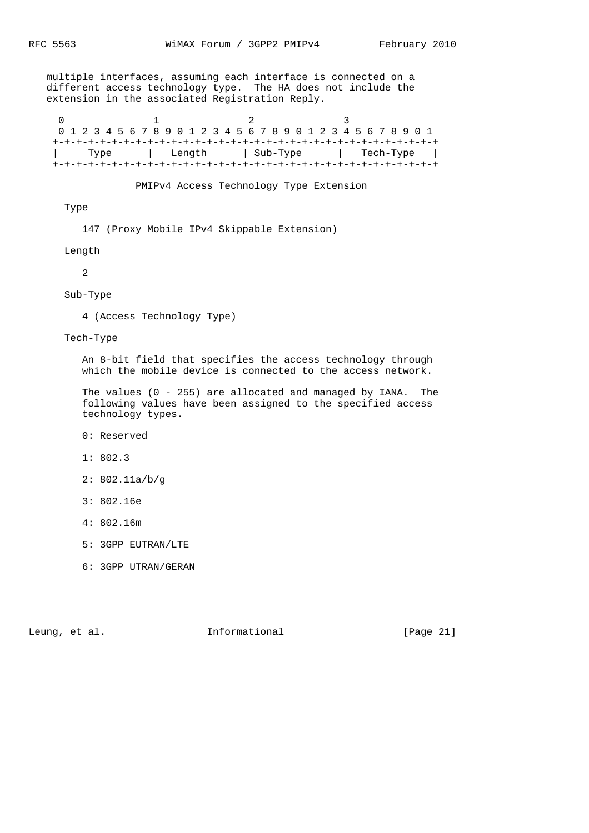multiple interfaces, assuming each interface is connected on a different access technology type. The HA does not include the extension in the associated Registration Reply.

0  $1$  2 3 0 1 2 3 4 5 6 7 8 9 0 1 2 3 4 5 6 7 8 9 0 1 2 3 4 5 6 7 8 9 0 1 +-+-+-+-+-+-+-+-+-+-+-+-+-+-+-+-+-+-+-+-+-+-+-+-+-+-+-+-+-+-+-+-+ | Type | Length | Sub-Type | Tech-Type | +-+-+-+-+-+-+-+-+-+-+-+-+-+-+-+-+-+-+-+-+-+-+-+-+-+-+-+-+-+-+-+-+

PMIPv4 Access Technology Type Extension

Type

147 (Proxy Mobile IPv4 Skippable Extension)

Length

2

Sub-Type

4 (Access Technology Type)

Tech-Type

 An 8-bit field that specifies the access technology through which the mobile device is connected to the access network.

 The values (0 - 255) are allocated and managed by IANA. The following values have been assigned to the specified access technology types.

0: Reserved

1: 802.3

2: 802.11a/b/g

3: 802.16e

4: 802.16m

5: 3GPP EUTRAN/LTE

6: 3GPP UTRAN/GERAN

Leung, et al. 1nformational [Page 21]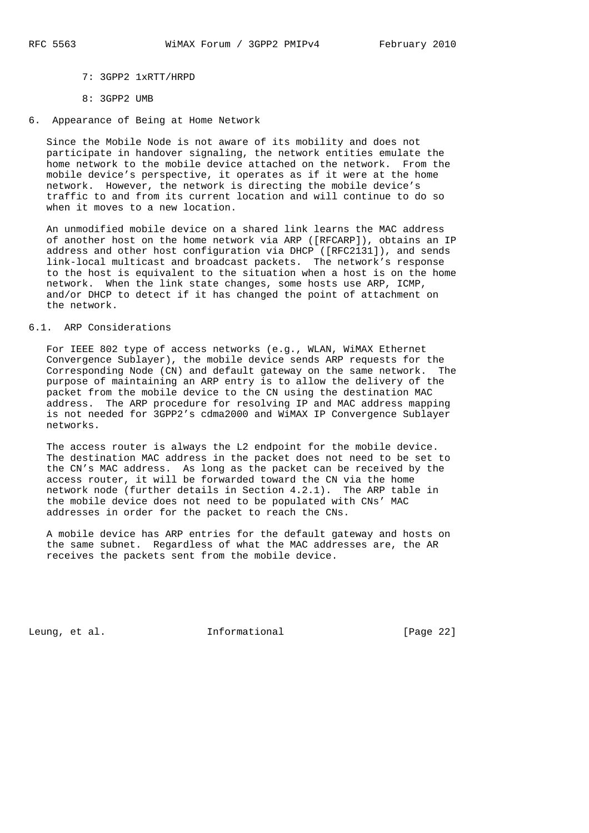- 7: 3GPP2 1xRTT/HRPD
- 8: 3GPP2 UMB
- 6. Appearance of Being at Home Network

 Since the Mobile Node is not aware of its mobility and does not participate in handover signaling, the network entities emulate the home network to the mobile device attached on the network. From the mobile device's perspective, it operates as if it were at the home network. However, the network is directing the mobile device's traffic to and from its current location and will continue to do so when it moves to a new location.

 An unmodified mobile device on a shared link learns the MAC address of another host on the home network via ARP ([RFCARP]), obtains an IP address and other host configuration via DHCP ([RFC2131]), and sends link-local multicast and broadcast packets. The network's response to the host is equivalent to the situation when a host is on the home network. When the link state changes, some hosts use ARP, ICMP, and/or DHCP to detect if it has changed the point of attachment on the network.

# 6.1. ARP Considerations

 For IEEE 802 type of access networks (e.g., WLAN, WiMAX Ethernet Convergence Sublayer), the mobile device sends ARP requests for the Corresponding Node (CN) and default gateway on the same network. The purpose of maintaining an ARP entry is to allow the delivery of the packet from the mobile device to the CN using the destination MAC address. The ARP procedure for resolving IP and MAC address mapping is not needed for 3GPP2's cdma2000 and WiMAX IP Convergence Sublayer networks.

The access router is always the L2 endpoint for the mobile device. The destination MAC address in the packet does not need to be set to the CN's MAC address. As long as the packet can be received by the access router, it will be forwarded toward the CN via the home network node (further details in Section 4.2.1). The ARP table in the mobile device does not need to be populated with CNs' MAC addresses in order for the packet to reach the CNs.

 A mobile device has ARP entries for the default gateway and hosts on the same subnet. Regardless of what the MAC addresses are, the AR receives the packets sent from the mobile device.

Leung, et al. 1nformational [Page 22]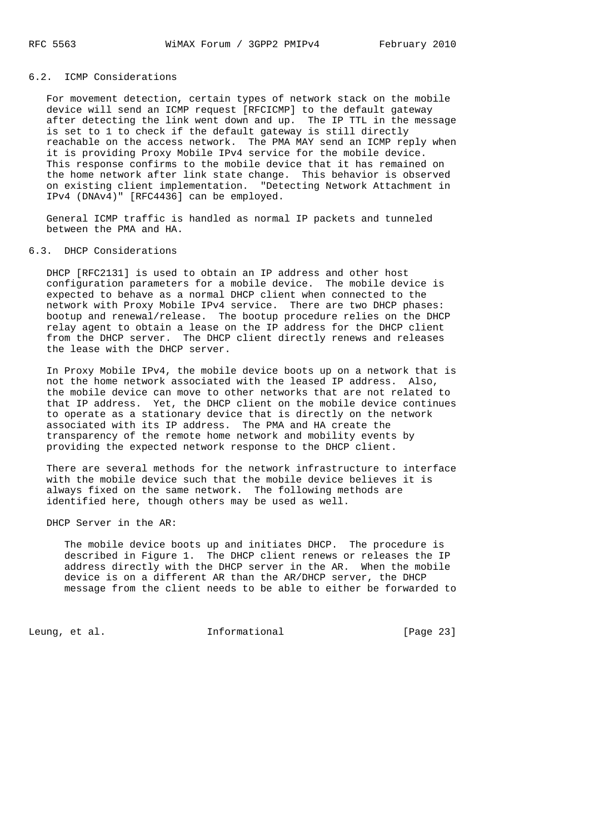## 6.2. ICMP Considerations

 For movement detection, certain types of network stack on the mobile device will send an ICMP request [RFCICMP] to the default gateway after detecting the link went down and up. The IP TTL in the message is set to 1 to check if the default gateway is still directly reachable on the access network. The PMA MAY send an ICMP reply when it is providing Proxy Mobile IPv4 service for the mobile device. This response confirms to the mobile device that it has remained on the home network after link state change. This behavior is observed on existing client implementation. "Detecting Network Attachment in IPv4 (DNAv4)" [RFC4436] can be employed.

 General ICMP traffic is handled as normal IP packets and tunneled between the PMA and HA.

### 6.3. DHCP Considerations

 DHCP [RFC2131] is used to obtain an IP address and other host configuration parameters for a mobile device. The mobile device is expected to behave as a normal DHCP client when connected to the network with Proxy Mobile IPv4 service. There are two DHCP phases: bootup and renewal/release. The bootup procedure relies on the DHCP relay agent to obtain a lease on the IP address for the DHCP client from the DHCP server. The DHCP client directly renews and releases the lease with the DHCP server.

 In Proxy Mobile IPv4, the mobile device boots up on a network that is not the home network associated with the leased IP address. Also, the mobile device can move to other networks that are not related to that IP address. Yet, the DHCP client on the mobile device continues to operate as a stationary device that is directly on the network associated with its IP address. The PMA and HA create the transparency of the remote home network and mobility events by providing the expected network response to the DHCP client.

 There are several methods for the network infrastructure to interface with the mobile device such that the mobile device believes it is always fixed on the same network. The following methods are identified here, though others may be used as well.

DHCP Server in the AR:

 The mobile device boots up and initiates DHCP. The procedure is described in Figure 1. The DHCP client renews or releases the IP address directly with the DHCP server in the AR. When the mobile device is on a different AR than the AR/DHCP server, the DHCP message from the client needs to be able to either be forwarded to

Leung, et al.  $I_n$  informational [Page 23]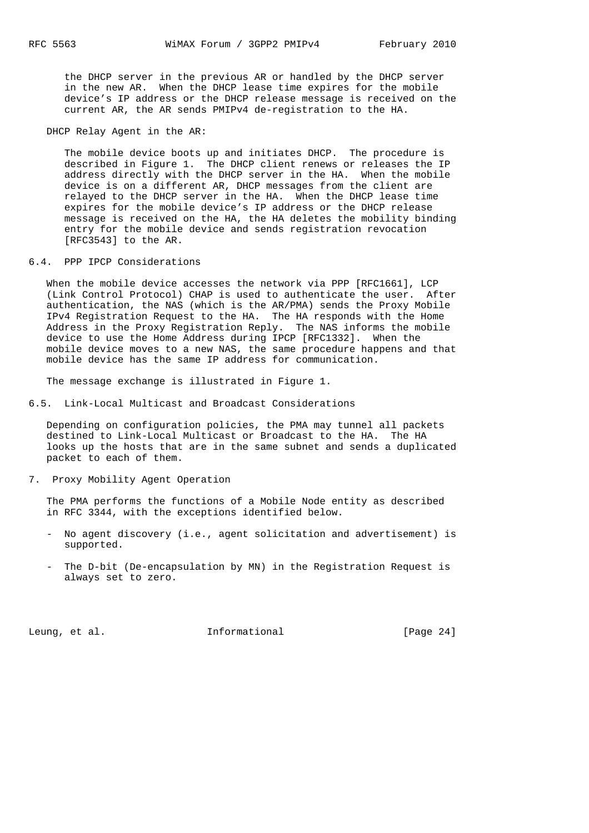the DHCP server in the previous AR or handled by the DHCP server in the new AR. When the DHCP lease time expires for the mobile device's IP address or the DHCP release message is received on the current AR, the AR sends PMIPv4 de-registration to the HA.

DHCP Relay Agent in the AR:

 The mobile device boots up and initiates DHCP. The procedure is described in Figure 1. The DHCP client renews or releases the IP address directly with the DHCP server in the HA. When the mobile device is on a different AR, DHCP messages from the client are relayed to the DHCP server in the HA. When the DHCP lease time expires for the mobile device's IP address or the DHCP release message is received on the HA, the HA deletes the mobility binding entry for the mobile device and sends registration revocation [RFC3543] to the AR.

6.4. PPP IPCP Considerations

 When the mobile device accesses the network via PPP [RFC1661], LCP (Link Control Protocol) CHAP is used to authenticate the user. After authentication, the NAS (which is the AR/PMA) sends the Proxy Mobile IPv4 Registration Request to the HA. The HA responds with the Home Address in the Proxy Registration Reply. The NAS informs the mobile device to use the Home Address during IPCP [RFC1332]. When the mobile device moves to a new NAS, the same procedure happens and that mobile device has the same IP address for communication.

The message exchange is illustrated in Figure 1.

6.5. Link-Local Multicast and Broadcast Considerations

 Depending on configuration policies, the PMA may tunnel all packets destined to Link-Local Multicast or Broadcast to the HA. The HA looks up the hosts that are in the same subnet and sends a duplicated packet to each of them.

7. Proxy Mobility Agent Operation

 The PMA performs the functions of a Mobile Node entity as described in RFC 3344, with the exceptions identified below.

- No agent discovery (i.e., agent solicitation and advertisement) is supported.
- The D-bit (De-encapsulation by MN) in the Registration Request is always set to zero.

Leung, et al.  $I_n$  informational [Page 24]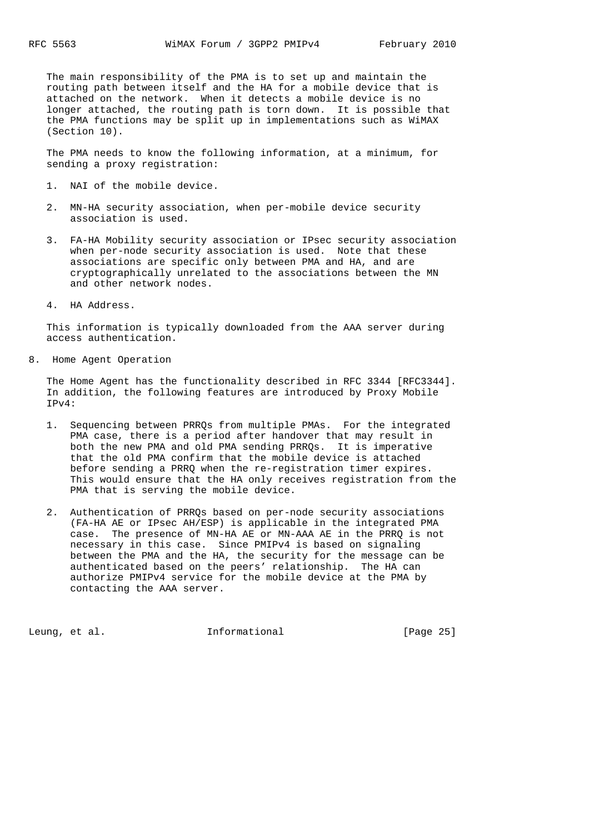The main responsibility of the PMA is to set up and maintain the routing path between itself and the HA for a mobile device that is attached on the network. When it detects a mobile device is no longer attached, the routing path is torn down. It is possible that the PMA functions may be split up in implementations such as WiMAX (Section 10).

 The PMA needs to know the following information, at a minimum, for sending a proxy registration:

- 1. NAI of the mobile device.
- 2. MN-HA security association, when per-mobile device security association is used.
- 3. FA-HA Mobility security association or IPsec security association when per-node security association is used. Note that these associations are specific only between PMA and HA, and are cryptographically unrelated to the associations between the MN and other network nodes.
- 4. HA Address.

 This information is typically downloaded from the AAA server during access authentication.

8. Home Agent Operation

 The Home Agent has the functionality described in RFC 3344 [RFC3344]. In addition, the following features are introduced by Proxy Mobile IPv4:

- 1. Sequencing between PRRQs from multiple PMAs. For the integrated PMA case, there is a period after handover that may result in both the new PMA and old PMA sending PRRQs. It is imperative that the old PMA confirm that the mobile device is attached before sending a PRRQ when the re-registration timer expires. This would ensure that the HA only receives registration from the PMA that is serving the mobile device.
- 2. Authentication of PRRQs based on per-node security associations (FA-HA AE or IPsec AH/ESP) is applicable in the integrated PMA case. The presence of MN-HA AE or MN-AAA AE in the PRRQ is not necessary in this case. Since PMIPv4 is based on signaling between the PMA and the HA, the security for the message can be authenticated based on the peers' relationship. The HA can authorize PMIPv4 service for the mobile device at the PMA by contacting the AAA server.

Leung, et al.  $I_n$  Informational [Page 25]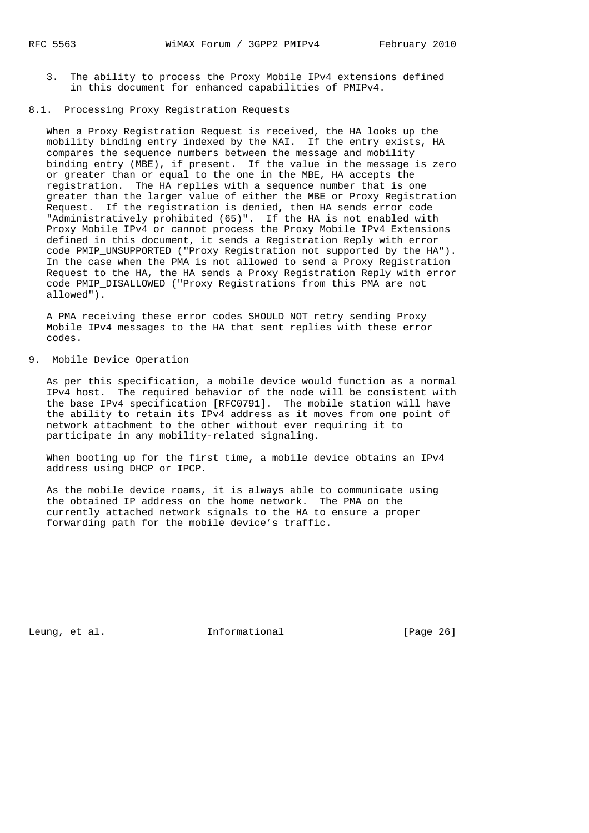3. The ability to process the Proxy Mobile IPv4 extensions defined in this document for enhanced capabilities of PMIPv4.

### 8.1. Processing Proxy Registration Requests

 When a Proxy Registration Request is received, the HA looks up the mobility binding entry indexed by the NAI. If the entry exists, HA compares the sequence numbers between the message and mobility binding entry (MBE), if present. If the value in the message is zero or greater than or equal to the one in the MBE, HA accepts the registration. The HA replies with a sequence number that is one greater than the larger value of either the MBE or Proxy Registration Request. If the registration is denied, then HA sends error code "Administratively prohibited (65)". If the HA is not enabled with Proxy Mobile IPv4 or cannot process the Proxy Mobile IPv4 Extensions defined in this document, it sends a Registration Reply with error code PMIP\_UNSUPPORTED ("Proxy Registration not supported by the HA"). In the case when the PMA is not allowed to send a Proxy Registration Request to the HA, the HA sends a Proxy Registration Reply with error code PMIP\_DISALLOWED ("Proxy Registrations from this PMA are not allowed").

 A PMA receiving these error codes SHOULD NOT retry sending Proxy Mobile IPv4 messages to the HA that sent replies with these error codes.

### 9. Mobile Device Operation

 As per this specification, a mobile device would function as a normal IPv4 host. The required behavior of the node will be consistent with the base IPv4 specification [RFC0791]. The mobile station will have the ability to retain its IPv4 address as it moves from one point of network attachment to the other without ever requiring it to participate in any mobility-related signaling.

 When booting up for the first time, a mobile device obtains an IPv4 address using DHCP or IPCP.

 As the mobile device roams, it is always able to communicate using the obtained IP address on the home network. The PMA on the currently attached network signals to the HA to ensure a proper forwarding path for the mobile device's traffic.

Leung, et al.  $I_n$  Informational [Page 26]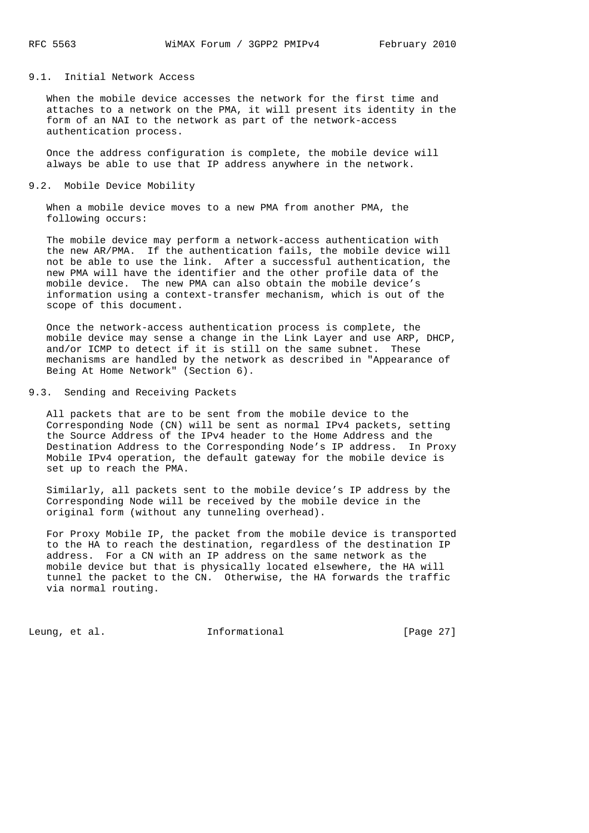## 9.1. Initial Network Access

 When the mobile device accesses the network for the first time and attaches to a network on the PMA, it will present its identity in the form of an NAI to the network as part of the network-access authentication process.

 Once the address configuration is complete, the mobile device will always be able to use that IP address anywhere in the network.

#### 9.2. Mobile Device Mobility

 When a mobile device moves to a new PMA from another PMA, the following occurs:

 The mobile device may perform a network-access authentication with the new AR/PMA. If the authentication fails, the mobile device will not be able to use the link. After a successful authentication, the new PMA will have the identifier and the other profile data of the mobile device. The new PMA can also obtain the mobile device's information using a context-transfer mechanism, which is out of the scope of this document.

 Once the network-access authentication process is complete, the mobile device may sense a change in the Link Layer and use ARP, DHCP, and/or ICMP to detect if it is still on the same subnet. These mechanisms are handled by the network as described in "Appearance of Being At Home Network" (Section 6).

9.3. Sending and Receiving Packets

 All packets that are to be sent from the mobile device to the Corresponding Node (CN) will be sent as normal IPv4 packets, setting the Source Address of the IPv4 header to the Home Address and the Destination Address to the Corresponding Node's IP address. In Proxy Mobile IPv4 operation, the default gateway for the mobile device is set up to reach the PMA.

 Similarly, all packets sent to the mobile device's IP address by the Corresponding Node will be received by the mobile device in the original form (without any tunneling overhead).

 For Proxy Mobile IP, the packet from the mobile device is transported to the HA to reach the destination, regardless of the destination IP address. For a CN with an IP address on the same network as the mobile device but that is physically located elsewhere, the HA will tunnel the packet to the CN. Otherwise, the HA forwards the traffic via normal routing.

Leung, et al. 1nformational [Page 27]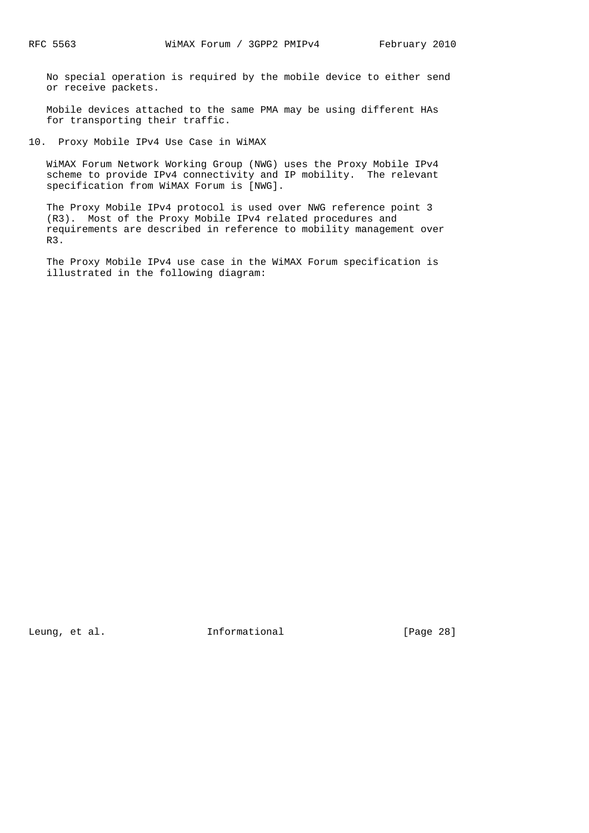No special operation is required by the mobile device to either send or receive packets.

 Mobile devices attached to the same PMA may be using different HAs for transporting their traffic.

10. Proxy Mobile IPv4 Use Case in WiMAX

 WiMAX Forum Network Working Group (NWG) uses the Proxy Mobile IPv4 scheme to provide IPv4 connectivity and IP mobility. The relevant specification from WiMAX Forum is [NWG].

 The Proxy Mobile IPv4 protocol is used over NWG reference point 3 (R3). Most of the Proxy Mobile IPv4 related procedures and requirements are described in reference to mobility management over R3.

 The Proxy Mobile IPv4 use case in the WiMAX Forum specification is illustrated in the following diagram:

Leung, et al. 1nformational [Page 28]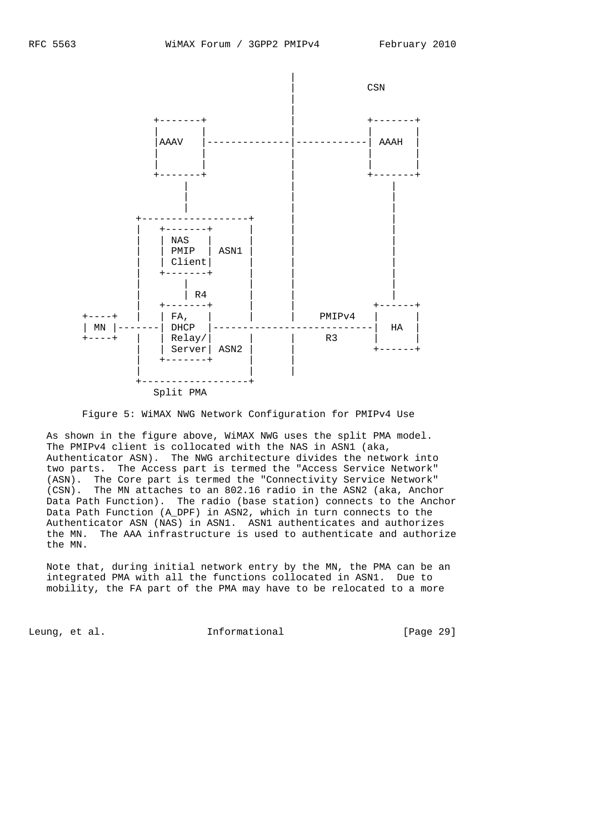

Figure 5: WiMAX NWG Network Configuration for PMIPv4 Use

 As shown in the figure above, WiMAX NWG uses the split PMA model. The PMIPv4 client is collocated with the NAS in ASN1 (aka, Authenticator ASN). The NWG architecture divides the network into two parts. The Access part is termed the "Access Service Network" (ASN). The Core part is termed the "Connectivity Service Network" (CSN). The MN attaches to an 802.16 radio in the ASN2 (aka, Anchor Data Path Function). The radio (base station) connects to the Anchor Data Path Function (A\_DPF) in ASN2, which in turn connects to the Authenticator ASN (NAS) in ASN1. ASN1 authenticates and authorizes the MN. The AAA infrastructure is used to authenticate and authorize the MN.

 Note that, during initial network entry by the MN, the PMA can be an integrated PMA with all the functions collocated in ASN1. Due to mobility, the FA part of the PMA may have to be relocated to a more

Leung, et al.  $I_n$  Informational [Page 29]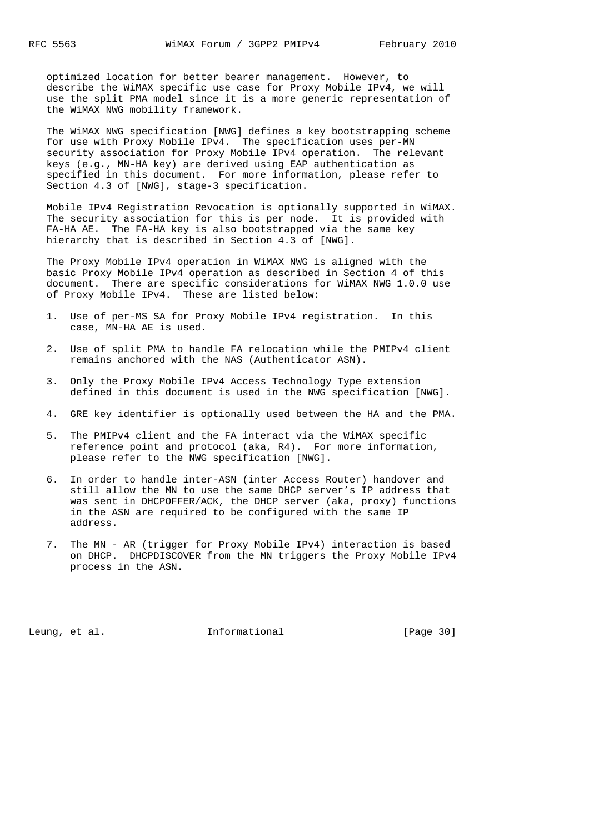optimized location for better bearer management. However, to describe the WiMAX specific use case for Proxy Mobile IPv4, we will use the split PMA model since it is a more generic representation of the WiMAX NWG mobility framework.

 The WiMAX NWG specification [NWG] defines a key bootstrapping scheme for use with Proxy Mobile IPv4. The specification uses per-MN security association for Proxy Mobile IPv4 operation. The relevant keys (e.g., MN-HA key) are derived using EAP authentication as specified in this document. For more information, please refer to Section 4.3 of [NWG], stage-3 specification.

 Mobile IPv4 Registration Revocation is optionally supported in WiMAX. The security association for this is per node. It is provided with FA-HA AE. The FA-HA key is also bootstrapped via the same key hierarchy that is described in Section 4.3 of [NWG].

 The Proxy Mobile IPv4 operation in WiMAX NWG is aligned with the basic Proxy Mobile IPv4 operation as described in Section 4 of this document. There are specific considerations for WiMAX NWG 1.0.0 use of Proxy Mobile IPv4. These are listed below:

- 1. Use of per-MS SA for Proxy Mobile IPv4 registration. In this case, MN-HA AE is used.
- 2. Use of split PMA to handle FA relocation while the PMIPv4 client remains anchored with the NAS (Authenticator ASN).
- 3. Only the Proxy Mobile IPv4 Access Technology Type extension defined in this document is used in the NWG specification [NWG].
- 4. GRE key identifier is optionally used between the HA and the PMA.
- 5. The PMIPv4 client and the FA interact via the WiMAX specific reference point and protocol (aka, R4). For more information, please refer to the NWG specification [NWG].
- 6. In order to handle inter-ASN (inter Access Router) handover and still allow the MN to use the same DHCP server's IP address that was sent in DHCPOFFER/ACK, the DHCP server (aka, proxy) functions in the ASN are required to be configured with the same IP address.
- 7. The MN AR (trigger for Proxy Mobile IPv4) interaction is based on DHCP. DHCPDISCOVER from the MN triggers the Proxy Mobile IPv4 process in the ASN.

Leung, et al. 1nformational [Page 30]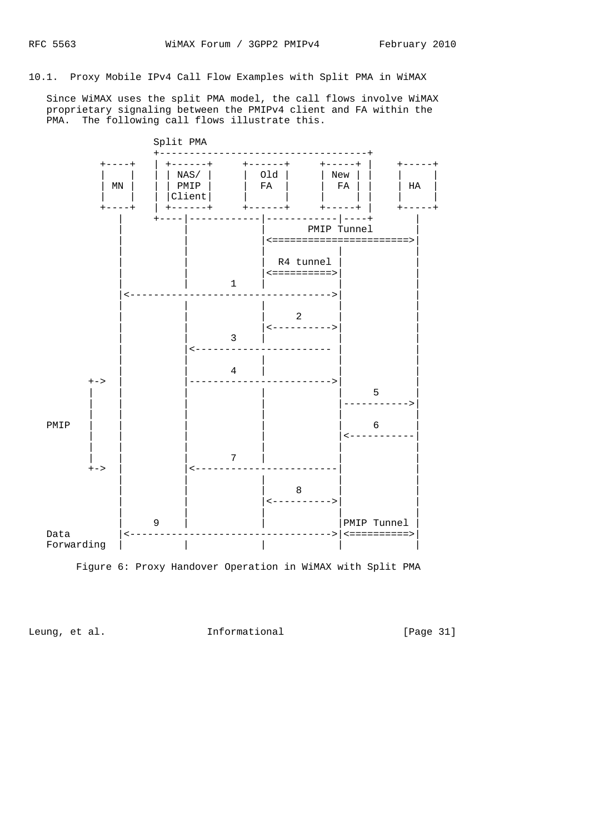10.1. Proxy Mobile IPv4 Call Flow Examples with Split PMA in WiMAX

 Since WiMAX uses the split PMA model, the call flows involve WiMAX proprietary signaling between the PMIPv4 client and FA within the PMA. The following call flows illustrate this.



Leung, et al. 11 methormational 11 [Page 31]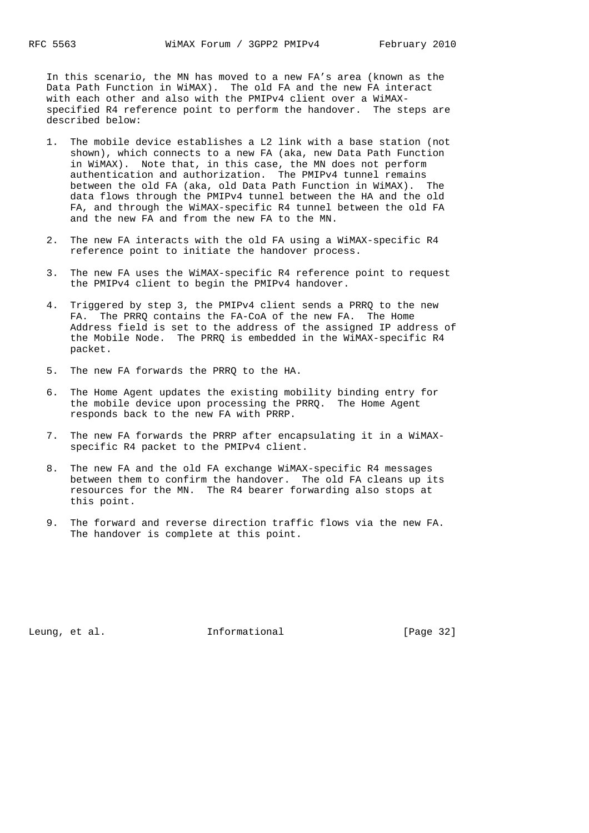In this scenario, the MN has moved to a new FA's area (known as the Data Path Function in WiMAX). The old FA and the new FA interact with each other and also with the PMIPv4 client over a WiMAX specified R4 reference point to perform the handover. The steps are described below:

- 1. The mobile device establishes a L2 link with a base station (not shown), which connects to a new FA (aka, new Data Path Function in WiMAX). Note that, in this case, the MN does not perform authentication and authorization. The PMIPv4 tunnel remains between the old FA (aka, old Data Path Function in WiMAX). The data flows through the PMIPv4 tunnel between the HA and the old FA, and through the WiMAX-specific R4 tunnel between the old FA and the new FA and from the new FA to the MN.
- 2. The new FA interacts with the old FA using a WiMAX-specific R4 reference point to initiate the handover process.
- 3. The new FA uses the WiMAX-specific R4 reference point to request the PMIPv4 client to begin the PMIPv4 handover.
- 4. Triggered by step 3, the PMIPv4 client sends a PRRQ to the new FA. The PRRQ contains the FA-CoA of the new FA. The Home Address field is set to the address of the assigned IP address of the Mobile Node. The PRRQ is embedded in the WiMAX-specific R4 packet.
- 5. The new FA forwards the PRRQ to the HA.
- 6. The Home Agent updates the existing mobility binding entry for the mobile device upon processing the PRRQ. The Home Agent responds back to the new FA with PRRP.
- 7. The new FA forwards the PRRP after encapsulating it in a WiMAX specific R4 packet to the PMIPv4 client.
- 8. The new FA and the old FA exchange WiMAX-specific R4 messages between them to confirm the handover. The old FA cleans up its resources for the MN. The R4 bearer forwarding also stops at this point.
- 9. The forward and reverse direction traffic flows via the new FA. The handover is complete at this point.

Leung, et al.  $I_n$  Informational [Page 32]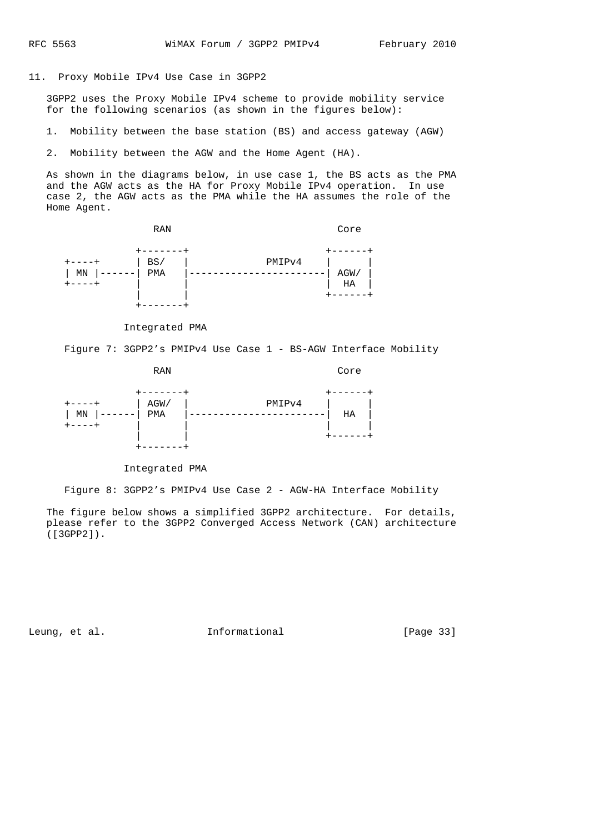### 11. Proxy Mobile IPv4 Use Case in 3GPP2

 3GPP2 uses the Proxy Mobile IPv4 scheme to provide mobility service for the following scenarios (as shown in the figures below):

1. Mobility between the base station (BS) and access gateway (AGW)

2. Mobility between the AGW and the Home Agent (HA).

 As shown in the diagrams below, in use case 1, the BS acts as the PMA and the AGW acts as the HA for Proxy Mobile IPv4 operation. In use case 2, the AGW acts as the PMA while the HA assumes the role of the Home Agent.



Integrated PMA

Figure 7: 3GPP2's PMIPv4 Use Case 1 - BS-AGW Interface Mobility

RAN Core +-------+ +------+ +----+ | AGW/ | PMIPv4 | | | MN |------| PMA |-----------------------| HA | +----+ | | | |  $+ - - - - - +$ +-------+

Integrated PMA

Figure 8: 3GPP2's PMIPv4 Use Case 2 - AGW-HA Interface Mobility

 The figure below shows a simplified 3GPP2 architecture. For details, please refer to the 3GPP2 Converged Access Network (CAN) architecture ([3GPP2]).

Leung, et al. 1nformational [Page 33]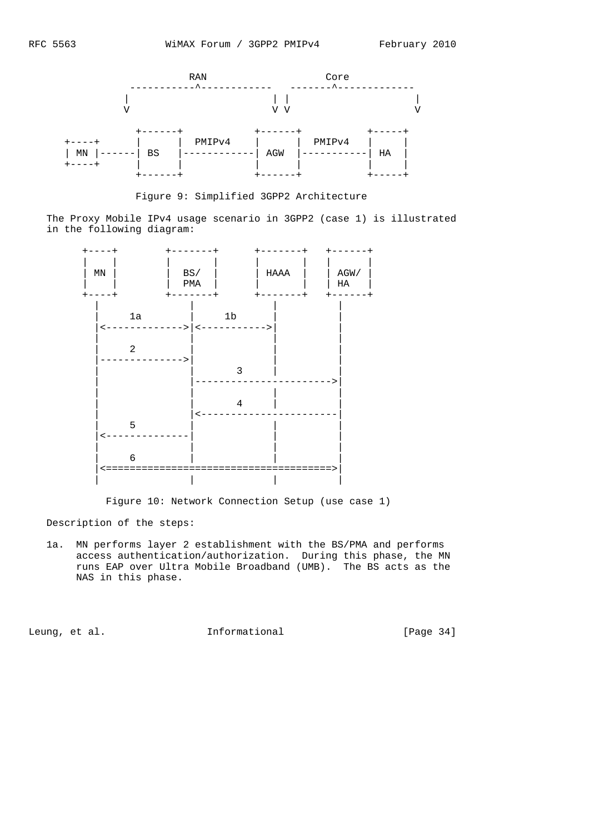

Figure 9: Simplified 3GPP2 Architecture

 The Proxy Mobile IPv4 usage scenario in 3GPP2 (case 1) is illustrated in the following diagram:



Figure 10: Network Connection Setup (use case 1)

Description of the steps:

 1a. MN performs layer 2 establishment with the BS/PMA and performs access authentication/authorization. During this phase, the MN runs EAP over Ultra Mobile Broadband (UMB). The BS acts as the NAS in this phase.

Leung, et al. 1nformational [Page 34]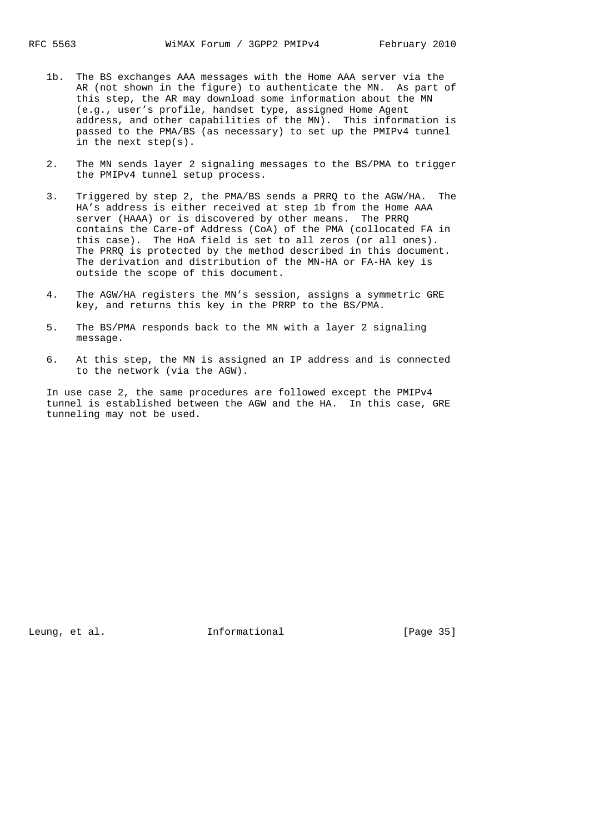- 1b. The BS exchanges AAA messages with the Home AAA server via the AR (not shown in the figure) to authenticate the MN. As part of this step, the AR may download some information about the MN (e.g., user's profile, handset type, assigned Home Agent address, and other capabilities of the MN). This information is passed to the PMA/BS (as necessary) to set up the PMIPv4 tunnel in the next step(s).
- 2. The MN sends layer 2 signaling messages to the BS/PMA to trigger the PMIPv4 tunnel setup process.
- 3. Triggered by step 2, the PMA/BS sends a PRRQ to the AGW/HA. The HA's address is either received at step 1b from the Home AAA server (HAAA) or is discovered by other means. The PRRQ contains the Care-of Address (CoA) of the PMA (collocated FA in this case). The HoA field is set to all zeros (or all ones). The PRRQ is protected by the method described in this document. The derivation and distribution of the MN-HA or FA-HA key is outside the scope of this document.
- 4. The AGW/HA registers the MN's session, assigns a symmetric GRE key, and returns this key in the PRRP to the BS/PMA.
- 5. The BS/PMA responds back to the MN with a layer 2 signaling message.
- 6. At this step, the MN is assigned an IP address and is connected to the network (via the AGW).

 In use case 2, the same procedures are followed except the PMIPv4 tunnel is established between the AGW and the HA. In this case, GRE tunneling may not be used.

Leung, et al.  $I_n$  Informational [Page 35]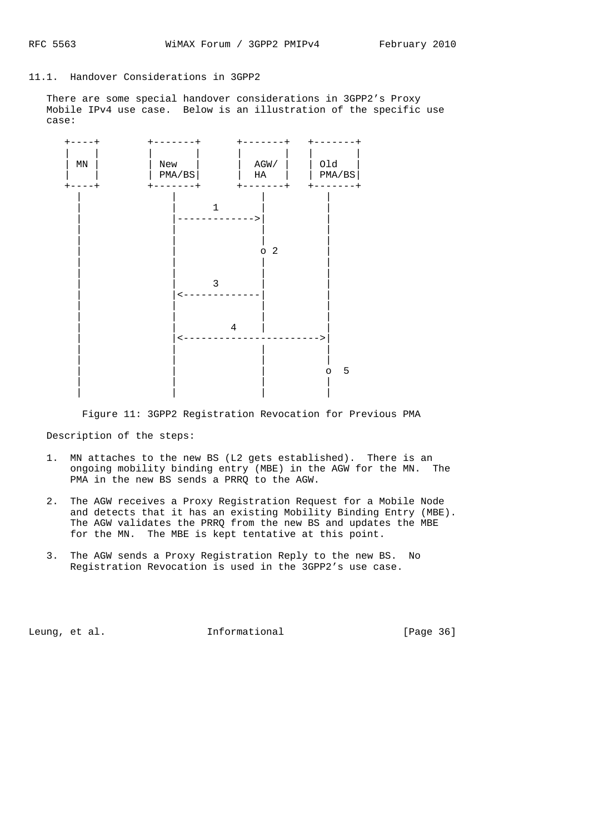### 11.1. Handover Considerations in 3GPP2

 There are some special handover considerations in 3GPP2's Proxy Mobile IPv4 use case. Below is an illustration of the specific use case:



Figure 11: 3GPP2 Registration Revocation for Previous PMA

Description of the steps:

- 1. MN attaches to the new BS (L2 gets established). There is an ongoing mobility binding entry (MBE) in the AGW for the MN. The PMA in the new BS sends a PRRQ to the AGW.
- 2. The AGW receives a Proxy Registration Request for a Mobile Node and detects that it has an existing Mobility Binding Entry (MBE). The AGW validates the PRRQ from the new BS and updates the MBE for the MN. The MBE is kept tentative at this point.
- 3. The AGW sends a Proxy Registration Reply to the new BS. No Registration Revocation is used in the 3GPP2's use case.

Leung, et al. 1nformational [Page 36]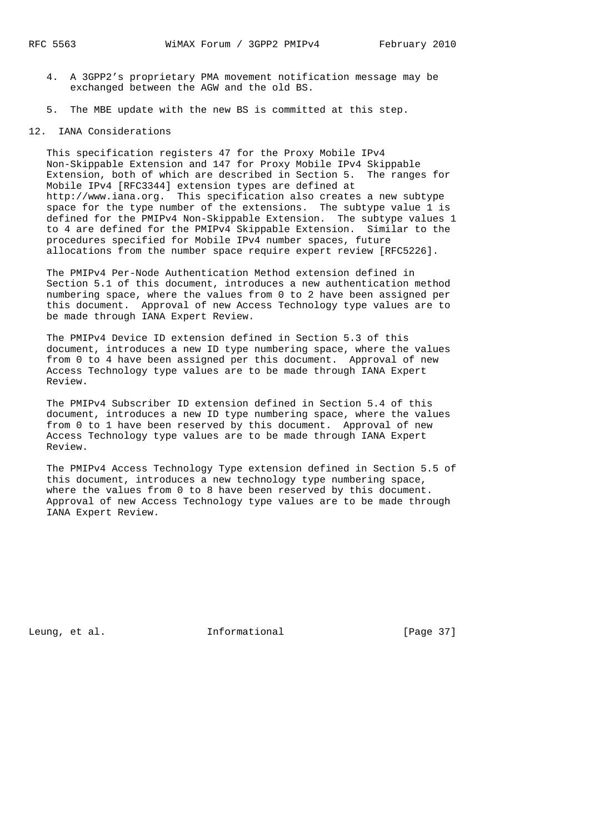- 4. A 3GPP2's proprietary PMA movement notification message may be exchanged between the AGW and the old BS.
- 5. The MBE update with the new BS is committed at this step.

### 12. IANA Considerations

 This specification registers 47 for the Proxy Mobile IPv4 Non-Skippable Extension and 147 for Proxy Mobile IPv4 Skippable Extension, both of which are described in Section 5. The ranges for Mobile IPv4 [RFC3344] extension types are defined at http://www.iana.org. This specification also creates a new subtype space for the type number of the extensions. The subtype value 1 is defined for the PMIPv4 Non-Skippable Extension. The subtype values 1 to 4 are defined for the PMIPv4 Skippable Extension. Similar to the procedures specified for Mobile IPv4 number spaces, future allocations from the number space require expert review [RFC5226].

 The PMIPv4 Per-Node Authentication Method extension defined in Section 5.1 of this document, introduces a new authentication method numbering space, where the values from 0 to 2 have been assigned per this document. Approval of new Access Technology type values are to be made through IANA Expert Review.

 The PMIPv4 Device ID extension defined in Section 5.3 of this document, introduces a new ID type numbering space, where the values from 0 to 4 have been assigned per this document. Approval of new Access Technology type values are to be made through IANA Expert Review.

 The PMIPv4 Subscriber ID extension defined in Section 5.4 of this document, introduces a new ID type numbering space, where the values from 0 to 1 have been reserved by this document. Approval of new Access Technology type values are to be made through IANA Expert Review.

 The PMIPv4 Access Technology Type extension defined in Section 5.5 of this document, introduces a new technology type numbering space, where the values from 0 to 8 have been reserved by this document. Approval of new Access Technology type values are to be made through IANA Expert Review.

Leung, et al.  $I_n$  Informational [Page 37]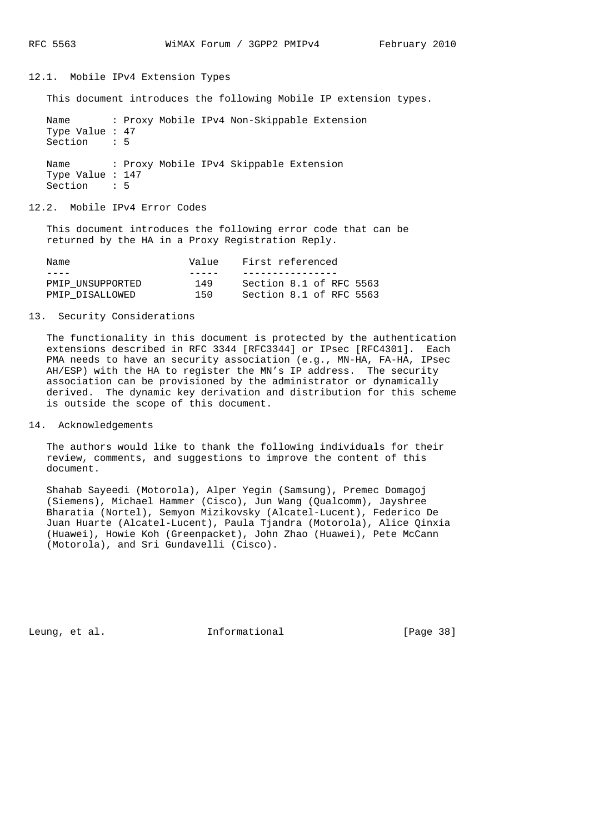# 12.1. Mobile IPv4 Extension Types

This document introduces the following Mobile IP extension types.

```
Name : Proxy Mobile IPv4 Non-Skippable Extension
Type Value : 47
Section : 5
Name : Proxy Mobile IPv4 Skippable Extension
Type Value : 147
Section : 5
```
#### 12.2. Mobile IPv4 Error Codes

 This document introduces the following error code that can be returned by the HA in a Proxy Registration Reply.

| Name             | Value | First referenced        |  |  |  |  |  |  |  |  |  |  |
|------------------|-------|-------------------------|--|--|--|--|--|--|--|--|--|--|
|                  |       |                         |  |  |  |  |  |  |  |  |  |  |
| PMIP UNSUPPORTED | 149   | Section 8.1 of RFC 5563 |  |  |  |  |  |  |  |  |  |  |
| PMIP DISALLOWED  | 150   | Section 8.1 of RFC 5563 |  |  |  |  |  |  |  |  |  |  |

## 13. Security Considerations

 The functionality in this document is protected by the authentication extensions described in RFC 3344 [RFC3344] or IPsec [RFC4301]. Each PMA needs to have an security association (e.g., MN-HA, FA-HA, IPsec AH/ESP) with the HA to register the MN's IP address. The security association can be provisioned by the administrator or dynamically derived. The dynamic key derivation and distribution for this scheme is outside the scope of this document.

# 14. Acknowledgements

 The authors would like to thank the following individuals for their review, comments, and suggestions to improve the content of this document.

 Shahab Sayeedi (Motorola), Alper Yegin (Samsung), Premec Domagoj (Siemens), Michael Hammer (Cisco), Jun Wang (Qualcomm), Jayshree Bharatia (Nortel), Semyon Mizikovsky (Alcatel-Lucent), Federico De Juan Huarte (Alcatel-Lucent), Paula Tjandra (Motorola), Alice Qinxia (Huawei), Howie Koh (Greenpacket), John Zhao (Huawei), Pete McCann (Motorola), and Sri Gundavelli (Cisco).

Leung, et al.  $I_n$  Informational [Page 38]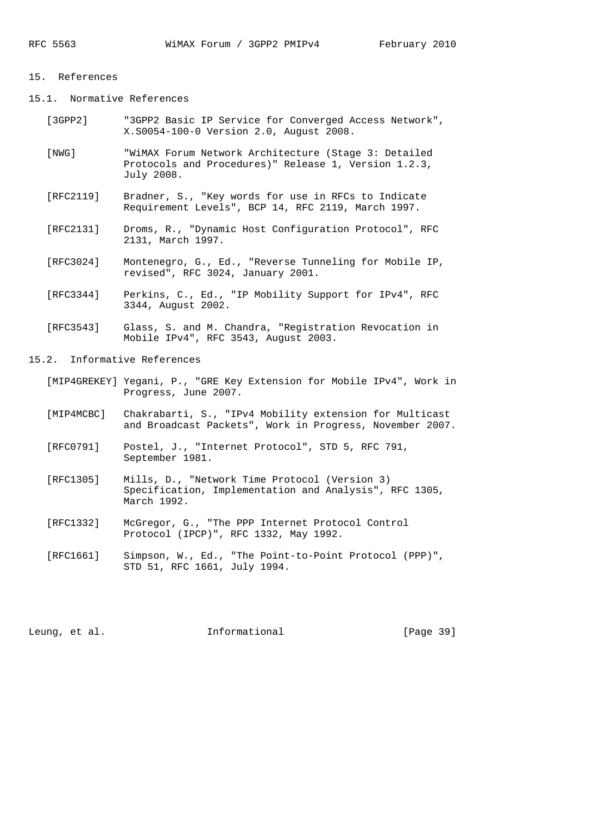#### 15. References

15.1. Normative References

- [3GPP2] "3GPP2 Basic IP Service for Converged Access Network", X.S0054-100-0 Version 2.0, August 2008.
- [NWG] "WiMAX Forum Network Architecture (Stage 3: Detailed Protocols and Procedures)" Release 1, Version 1.2.3, July 2008.
- [RFC2119] Bradner, S., "Key words for use in RFCs to Indicate Requirement Levels", BCP 14, RFC 2119, March 1997.
- [RFC2131] Droms, R., "Dynamic Host Configuration Protocol", RFC 2131, March 1997.
- [RFC3024] Montenegro, G., Ed., "Reverse Tunneling for Mobile IP, revised", RFC 3024, January 2001.
- [RFC3344] Perkins, C., Ed., "IP Mobility Support for IPv4", RFC 3344, August 2002.
- [RFC3543] Glass, S. and M. Chandra, "Registration Revocation in Mobile IPv4", RFC 3543, August 2003.
- 15.2. Informative References
	- [MIP4GREKEY] Yegani, P., "GRE Key Extension for Mobile IPv4", Work in Progress, June 2007.
	- [MIP4MCBC] Chakrabarti, S., "IPv4 Mobility extension for Multicast and Broadcast Packets", Work in Progress, November 2007.
	- [RFC0791] Postel, J., "Internet Protocol", STD 5, RFC 791, September 1981.
	- [RFC1305] Mills, D., "Network Time Protocol (Version 3) Specification, Implementation and Analysis", RFC 1305, March 1992.
	- [RFC1332] McGregor, G., "The PPP Internet Protocol Control Protocol (IPCP)", RFC 1332, May 1992.
- [RFC1661] Simpson, W., Ed., "The Point-to-Point Protocol (PPP)", STD 51, RFC 1661, July 1994.

Leung, et al.  $I_n$  Informational [Page 39]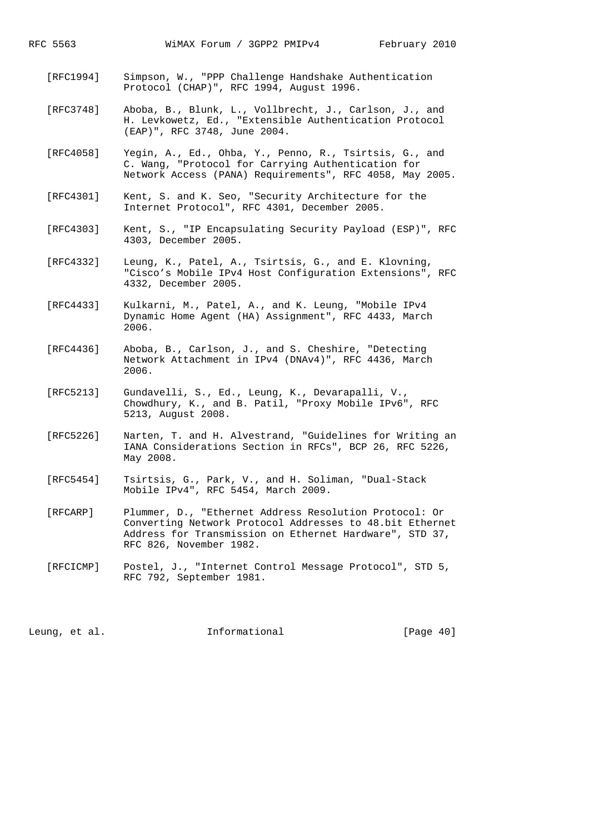- [RFC1994] Simpson, W., "PPP Challenge Handshake Authentication Protocol (CHAP)", RFC 1994, August 1996.
- [RFC3748] Aboba, B., Blunk, L., Vollbrecht, J., Carlson, J., and H. Levkowetz, Ed., "Extensible Authentication Protocol (EAP)", RFC 3748, June 2004.
- [RFC4058] Yegin, A., Ed., Ohba, Y., Penno, R., Tsirtsis, G., and C. Wang, "Protocol for Carrying Authentication for Network Access (PANA) Requirements", RFC 4058, May 2005.
- [RFC4301] Kent, S. and K. Seo, "Security Architecture for the Internet Protocol", RFC 4301, December 2005.
- [RFC4303] Kent, S., "IP Encapsulating Security Payload (ESP)", RFC 4303, December 2005.
- [RFC4332] Leung, K., Patel, A., Tsirtsis, G., and E. Klovning, "Cisco's Mobile IPv4 Host Configuration Extensions", RFC 4332, December 2005.
- [RFC4433] Kulkarni, M., Patel, A., and K. Leung, "Mobile IPv4 Dynamic Home Agent (HA) Assignment", RFC 4433, March 2006.
- [RFC4436] Aboba, B., Carlson, J., and S. Cheshire, "Detecting Network Attachment in IPv4 (DNAv4)", RFC 4436, March 2006.
- [RFC5213] Gundavelli, S., Ed., Leung, K., Devarapalli, V., Chowdhury, K., and B. Patil, "Proxy Mobile IPv6", RFC 5213, August 2008.
- [RFC5226] Narten, T. and H. Alvestrand, "Guidelines for Writing an IANA Considerations Section in RFCs", BCP 26, RFC 5226, May 2008.
- [RFC5454] Tsirtsis, G., Park, V., and H. Soliman, "Dual-Stack Mobile IPv4", RFC 5454, March 2009.
- [RFCARP] Plummer, D., "Ethernet Address Resolution Protocol: Or Converting Network Protocol Addresses to 48.bit Ethernet Address for Transmission on Ethernet Hardware", STD 37, RFC 826, November 1982.
- [RFCICMP] Postel, J., "Internet Control Message Protocol", STD 5, RFC 792, September 1981.

Leung, et al.  $I_n$  Informational [Page 40]